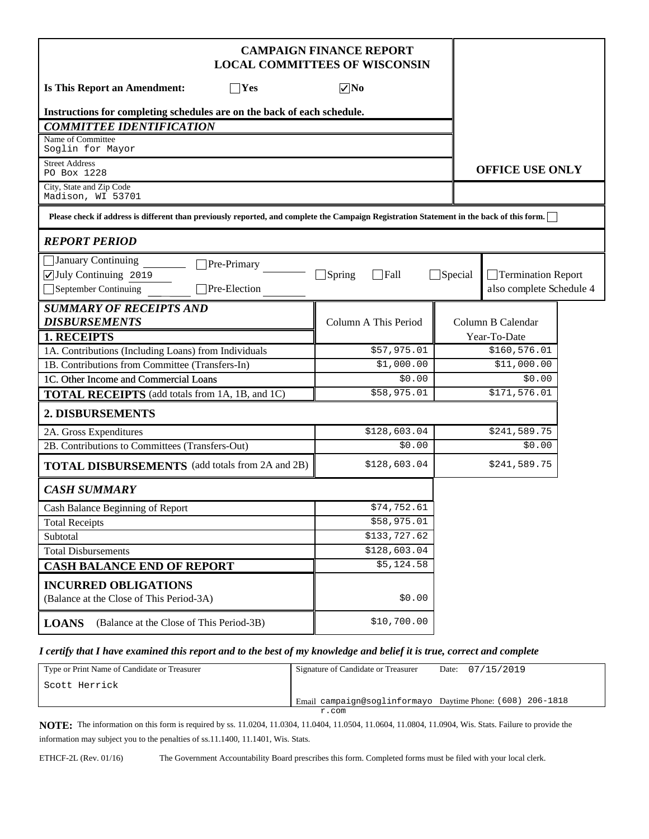|                                                                                                                                           | <b>CAMPAIGN FINANCE REPORT</b><br><b>LOCAL COMMITTEES OF WISCONSIN</b> |                |                          |  |
|-------------------------------------------------------------------------------------------------------------------------------------------|------------------------------------------------------------------------|----------------|--------------------------|--|
| <b>Is This Report an Amendment:</b><br>$\neg$ Yes                                                                                         | $\nabla$ No                                                            |                |                          |  |
| Instructions for completing schedules are on the back of each schedule.                                                                   |                                                                        |                |                          |  |
| <b>COMMITTEE IDENTIFICATION</b>                                                                                                           |                                                                        |                |                          |  |
| Name of Committee<br>Soglin for Mayor                                                                                                     |                                                                        |                |                          |  |
| <b>Street Address</b><br>PO Box 1228                                                                                                      |                                                                        |                | <b>OFFICE USE ONLY</b>   |  |
| City, State and Zip Code<br>Madison, WI 53701                                                                                             |                                                                        |                |                          |  |
| Please check if address is different than previously reported, and complete the Campaign Registration Statement in the back of this form. |                                                                        |                |                          |  |
| <b>REPORT PERIOD</b>                                                                                                                      |                                                                        |                |                          |  |
| January Continuing<br>Pre-Primary                                                                                                         |                                                                        |                |                          |  |
| July Continuing 2019                                                                                                                      | $\Box$ Spring<br>$\Box$ Fall                                           | $\Box$ Special | Termination Report       |  |
| Pre-Election<br>September Continuing                                                                                                      |                                                                        |                | also complete Schedule 4 |  |
| <b>SUMMARY OF RECEIPTS AND</b>                                                                                                            |                                                                        |                |                          |  |
| <b>DISBURSEMENTS</b>                                                                                                                      | Column A This Period                                                   |                | Column B Calendar        |  |
| 1. RECEIPTS                                                                                                                               |                                                                        |                | Year-To-Date             |  |
| 1A. Contributions (Including Loans) from Individuals                                                                                      | \$57,975.01                                                            |                | \$160,576.01             |  |
| 1B. Contributions from Committee (Transfers-In)                                                                                           | \$1,000.00                                                             |                | \$11,000.00              |  |
| 1C. Other Income and Commercial Loans                                                                                                     | \$0.00                                                                 |                | \$0.00                   |  |
| <b>TOTAL RECEIPTS</b> (add totals from 1A, 1B, and 1C)                                                                                    | \$58,975.01                                                            |                | \$171,576.01             |  |
| 2. DISBURSEMENTS                                                                                                                          |                                                                        |                |                          |  |
| 2A. Gross Expenditures                                                                                                                    | \$128,603.04                                                           |                | \$241,589.75             |  |
| 2B. Contributions to Committees (Transfers-Out)                                                                                           | \$0.00                                                                 |                | \$0.00                   |  |
| <b>TOTAL DISBURSEMENTS</b> (add totals from 2A and 2B)                                                                                    | \$128,603.04                                                           |                | \$241,589.75             |  |
| <b>CASH SUMMARY</b>                                                                                                                       |                                                                        |                |                          |  |
| Cash Balance Beginning of Report                                                                                                          | \$74,752.61                                                            |                |                          |  |
| <b>Total Receipts</b>                                                                                                                     | \$58,975.01                                                            |                |                          |  |
| Subtotal                                                                                                                                  | \$133,727.62                                                           |                |                          |  |
| <b>Total Disbursements</b>                                                                                                                | \$128,603.04                                                           |                |                          |  |
| <b>CASH BALANCE END OF REPORT</b>                                                                                                         | \$5,124.58                                                             |                |                          |  |
| <b>INCURRED OBLIGATIONS</b><br>(Balance at the Close of This Period-3A)                                                                   | \$0.00                                                                 |                |                          |  |
| (Balance at the Close of This Period-3B)<br><b>LOANS</b>                                                                                  | \$10,700.00                                                            |                |                          |  |

### *I certify that I have examined this report and to the best of my knowledge and belief it is true, correct and complete*

| Type or Print Name of Candidate or Treasurer | Signature of Candidate or Treasurer                        | Date: $07/15/2019$ |
|----------------------------------------------|------------------------------------------------------------|--------------------|
| ' Scott Herrick                              |                                                            |                    |
|                                              | Email campaign@soglinformayo Daytime Phone: (608) 206-1818 |                    |
|                                              | r.com                                                      |                    |

**NOTE:** The information on this form is required by ss. 11.0204, 11.0304, 11.0404, 11.0504, 11.0604, 11.0804, 11.0904, Wis. Stats. Failure to provide the information may subject you to the penalties of ss.11.1400, 11.1401, Wis. Stats.

ETHCF-2L (Rev. 01/16) The Government Accountability Board prescribes this form. Completed forms must be filed with your local clerk.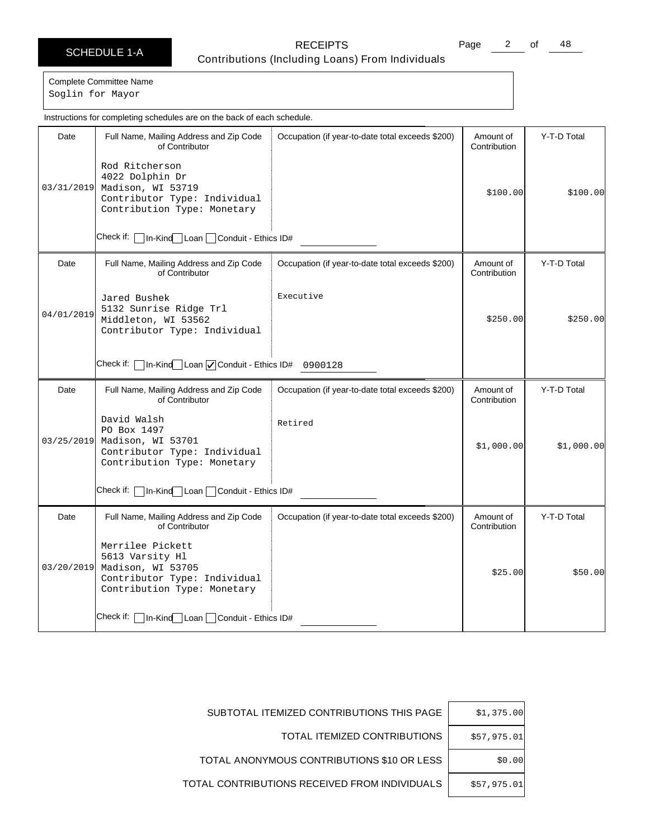Page 2 of 48

Complete Committee Name Soglin for Mayor

Date | Full Name, Mailing Address and Zip Code of Contributor Check if: | In-Kind Loan | Conduit - Ethics ID# Occupation (if year-to-date total exceeds \$200) | Amount of **Contribution** Y-T-D Total 03/31/2019 Madison, WI 53719 Rod Ritcherson 4022 Dolphin Dr Contributor Type: Individual Contribution Type: Monetary \$100.00 \$100.00 Date | Full Name, Mailing Address and Zip Code of Contributor Check if: | In-Kind Loan | Conduit - Ethics ID# 0900128 Occupation (if year-to-date total exceeds \$200) | Amount of **Contribution** Y-T-D Total 04/01/2019 Jared Bushek 5132 Sunrise Ridge Trl Middleton, WI 53562 Contributor Type: Individual Executive \$250.00 \$250.00 Date | Full Name, Mailing Address and Zip Code of Contributor Check if: □In-Kind Loan DConduit - Ethics ID# Occupation (if year-to-date total exceeds \$200) | Amount of Contribution Y-T-D Total 03/25/2019 David Walsh PO Box 1497 Madison, WI 53701 Contributor Type: Individual Contribution Type: Monetary Retired \$1,000.00 \$1,000.00 Date | Full Name, Mailing Address and Zip Code of Contributor Check if: | In-Kind Loan | Conduit - Ethics ID# Occupation (if year-to-date total exceeds \$200) | Amount of Contribution Y-T-D Total 03/20/2019 Merrilee Pickett 5613 Varsity Hl Madison, WI 53705 Contributor Type: Individual Contribution Type: Monetary  $$25.00$   $$50.00$ Instructions for completing schedules are on the back of each schedule.

| \$1,375.00  | SUBTOTAL ITEMIZED CONTRIBUTIONS THIS PAGE     |
|-------------|-----------------------------------------------|
| \$57,975.01 | TOTAL ITEMIZED CONTRIBUTIONS                  |
| \$0.00      | TOTAL ANONYMOUS CONTRIBUTIONS \$10 OR LESS    |
| \$57,975.01 | TOTAL CONTRIBUTIONS RECEIVED FROM INDIVIDUALS |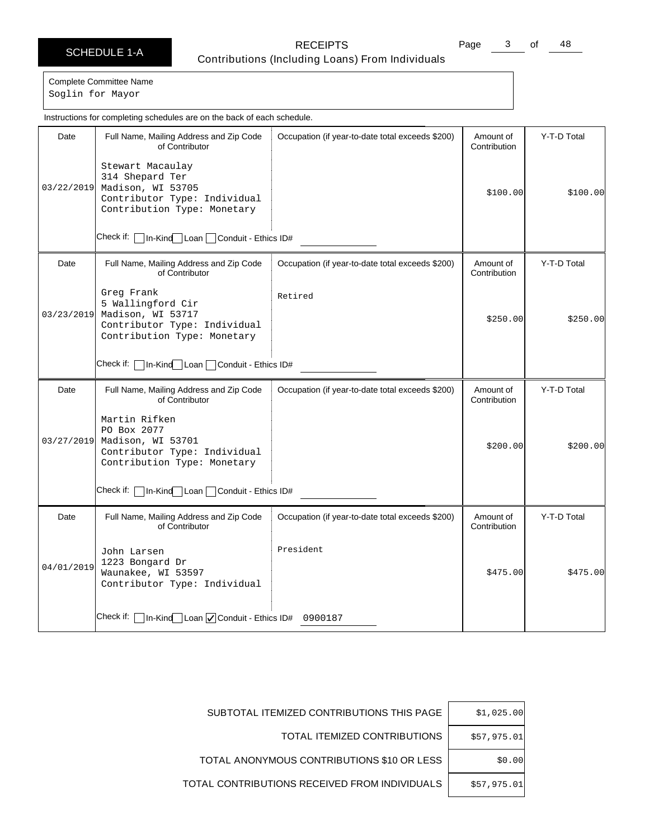Page 3 of 48

Complete Committee Name Soglin for Mayor

Date | Full Name, Mailing Address and Zip Code of Contributor Check if: | In-Kind Loan | Conduit - Ethics ID# Occupation (if year-to-date total exceeds \$200) | Amount of **Contribution** Y-T-D Total 03/22/2019 Madison, WI 53705 Stewart Macaulay 314 Shepard Ter Contributor Type: Individual Contribution Type: Monetary \$100.00 \$100.00 Date | Full Name, Mailing Address and Zip Code of Contributor Check if:  $\Box$  In-Kind Loan  $\Box$  Conduit - Ethics ID# Occupation (if year-to-date total exceeds \$200) | Amount of **Contribution** Y-T-D Total 03/23/2019 Greg Frank 5 Wallingford Cir Madison, WI 53717 Contributor Type: Individual Contribution Type: Monetary Retired  $$250.00$   $$250.00$ Date | Full Name, Mailing Address and Zip Code of Contributor Check if: | In-Kind | Loan | Conduit - Ethics ID# Occupation (if year-to-date total exceeds \$200) | Amount of Contribution Y-T-D Total 03/27/2019 Martin Rifken PO Box 2077 Madison, WI 53701 Contributor Type: Individual Contribution Type: Monetary \$200.00 \$200.00 Date | Full Name, Mailing Address and Zip Code of Contributor Check if: | In-Kind Loan | Conduit - Ethics ID# 0900187 Occupation (if year-to-date total exceeds \$200) | Amount of Contribution Y-T-D Total 04/01/2019 John Larsen 1223 Bongard Dr Waunakee, WI 53597 Contributor Type: Individual President  $$475.00$   $$475.00$ Instructions for completing schedules are on the back of each schedule.

| SUBTOTAL ITEMIZED CONTRIBUTIONS THIS PAGE     | \$1,025.00  |
|-----------------------------------------------|-------------|
| TOTAL ITEMIZED CONTRIBUTIONS                  | \$57,975.01 |
| TOTAL ANONYMOUS CONTRIBUTIONS \$10 OR LESS    | \$0.00      |
| TOTAL CONTRIBUTIONS RECEIVED FROM INDIVIDUALS | \$57.975.01 |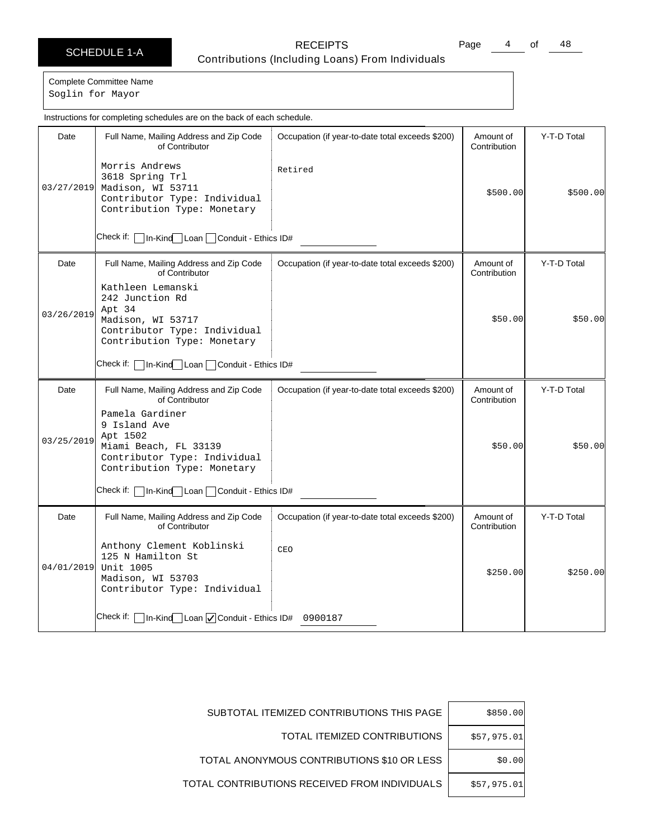Page 4 of 48

Complete Committee Name Soglin for Mayor

Date | Full Name, Mailing Address and Zip Code of Contributor Check if: | In-Kind Loan | Conduit - Ethics ID# Occupation (if year-to-date total exceeds \$200) | Amount of **Contribution** Y-T-D Total 03/27/2019 Madison, WI 53711 Morris Andrews 3618 Spring Trl Contributor Type: Individual Contribution Type: Monetary Retired \$500.00 \$500.00 Date Full Name, Mailing Address and Zip Code of Contributor Check if:  $\Box$  In-Kind Loan  $\Box$  Conduit - Ethics ID# Occupation (if year-to-date total exceeds \$200) | Amount of **Contribution** Y-T-D Total 03/26/2019 Kathleen Lemanski 242 Junction Rd Apt 34 Madison, WI 53717 Contributor Type: Individual Contribution Type: Monetary \$50.00 \$50.00 Date | Full Name, Mailing Address and Zip Code of Contributor Check if: | In-Kind | Loan | Conduit - Ethics ID# Occupation (if year-to-date total exceeds \$200) | Amount of Contribution Y-T-D Total 03/25/2019 Pamela Gardiner 9 Island Ave Apt 1502 Miami Beach, FL 33139 Contributor Type: Individual Contribution Type: Monetary \$50.00 \$50.00 Date | Full Name, Mailing Address and Zip Code of Contributor Check if: | In-Kind Loan | Conduit - Ethics ID# 0900187 Occupation (if year-to-date total exceeds \$200) | Amount of Contribution Y-T-D Total 04/01/2019 Anthony Clement Koblinski 125 N Hamilton St Unit 1005 Madison, WI 53703 Contributor Type: Individual CEO  $$250.00$   $$250.00$ Instructions for completing schedules are on the back of each schedule.

| \$850.00    | SUBTOTAL ITEMIZED CONTRIBUTIONS THIS PAGE     |
|-------------|-----------------------------------------------|
| \$57,975.01 | TOTAL ITEMIZED CONTRIBUTIONS                  |
| \$0.00      | TOTAL ANONYMOUS CONTRIBUTIONS \$10 OR LESS    |
| \$57,975.01 | TOTAL CONTRIBUTIONS RECEIVED FROM INDIVIDUALS |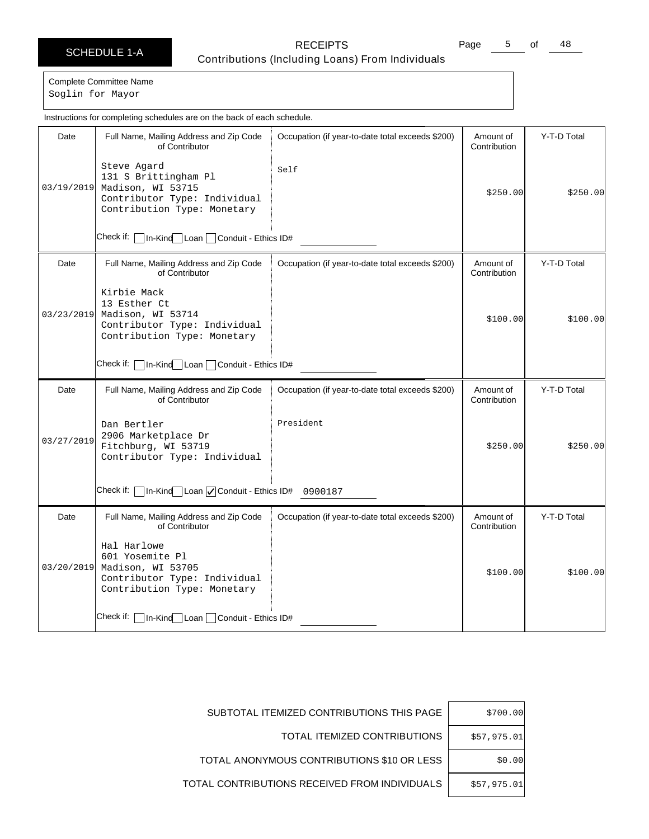Page 5 of 48

Complete Committee Name Soglin for Mayor

Date | Full Name, Mailing Address and Zip Code of Contributor Check if: | In-Kind Loan | Conduit - Ethics ID# Occupation (if year-to-date total exceeds \$200) | Amount of **Contribution** Y-T-D Total 03/19/2019 Madison, WI 53715 Steve Agard 131 S Brittingham Pl Contributor Type: Individual Contribution Type: Monetary Self \$250.00 \$250.00 Date | Full Name, Mailing Address and Zip Code of Contributor Check if: | In-Kind Loan | Conduit - Ethics ID# Occupation (if year-to-date total exceeds \$200) | Amount of **Contribution** Y-T-D Total 03/23/2019 Kirbie Mack 13 Esther Ct Madison, WI 53714 Contributor Type: Individual Contribution Type: Monetary  $$100.00$   $$100.00$ Date | Full Name, Mailing Address and Zip Code of Contributor Check if: | In-Kind Loan | Conduit - Ethics ID# 0900187 Occupation (if year-to-date total exceeds \$200) | Amount of Contribution Y-T-D Total 03/27/2019 Dan Bertler 2906 Marketplace Dr Fitchburg, WI 53719 Contributor Type: Individual President \$250.00 \$250.00 Date | Full Name, Mailing Address and Zip Code of Contributor Check if: | In-Kind Loan | Conduit - Ethics ID# Occupation (if year-to-date total exceeds \$200) | Amount of Contribution Y-T-D Total 03/20/2019 Hal Harlowe 601 Yosemite Pl Madison, WI 53705 Contributor Type: Individual Contribution Type: Monetary  $$100.00$   $$100.00$ Instructions for completing schedules are on the back of each schedule.

| \$700.00    | SUBTOTAL ITEMIZED CONTRIBUTIONS THIS PAGE     |
|-------------|-----------------------------------------------|
| \$57,975.01 | TOTAL ITEMIZED CONTRIBUTIONS                  |
| \$0.00      | TOTAL ANONYMOUS CONTRIBUTIONS \$10 OR LESS    |
| \$57,975.01 | TOTAL CONTRIBUTIONS RECEIVED FROM INDIVIDUALS |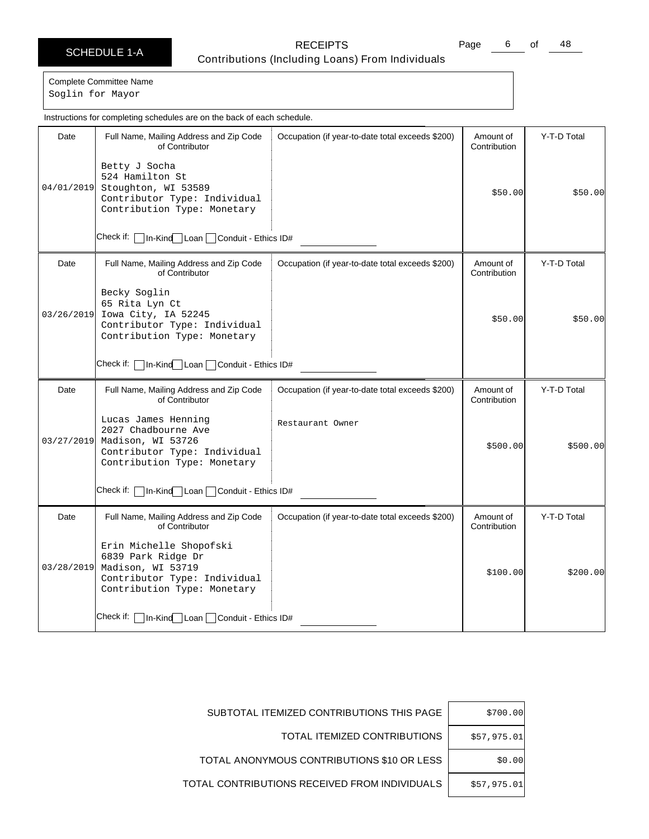Page 6 of 48

Complete Committee Name Soglin for Mayor

Date | Full Name, Mailing Address and Zip Code of Contributor Check if: | In-Kind Loan | Conduit - Ethics ID# Occupation (if year-to-date total exceeds \$200) | Amount of **Contribution** Y-T-D Total 04/01/2019 Stoughton, WI 53589 Betty J Socha 524 Hamilton St Contributor Type: Individual Contribution Type: Monetary \$50.00 \$50.00 Date Full Name, Mailing Address and Zip Code of Contributor Check if:  $\Box$  In-Kind Loan  $\Box$  Conduit - Ethics ID# Occupation (if year-to-date total exceeds \$200) | Amount of **Contribution** Y-T-D Total 03/26/2019 Becky Soglin 65 Rita Lyn Ct Iowa City, IA 52245 Contributor Type: Individual Contribution Type: Monetary \$50.00 \$50.00 Date | Full Name, Mailing Address and Zip Code of Contributor Check if: | In-Kind | Loan | Conduit - Ethics ID# Occupation (if year-to-date total exceeds \$200) | Amount of Contribution Y-T-D Total 03/27/2019 Lucas James Henning 2027 Chadbourne Ave Madison, WI 53726 Contributor Type: Individual Contribution Type: Monetary Restaurant Owner \$500.00 \$500.00 Date | Full Name, Mailing Address and Zip Code of Contributor Check if: | In-Kind Loan | Conduit - Ethics ID# Occupation (if year-to-date total exceeds \$200) | Amount of **Contribution** Y-T-D Total 03/28/2019 Madison, WI 53719 Erin Michelle Shopofski 6839 Park Ridge Dr Contributor Type: Individual Contribution Type: Monetary  $$100.00$   $$200.00$ Instructions for completing schedules are on the back of each schedule.

| \$700.00    | SUBTOTAL ITEMIZED CONTRIBUTIONS THIS PAGE     |
|-------------|-----------------------------------------------|
| \$57,975.01 | TOTAL ITEMIZED CONTRIBUTIONS                  |
| \$0.00      | TOTAL ANONYMOUS CONTRIBUTIONS \$10 OR LESS    |
| \$57,975.01 | TOTAL CONTRIBUTIONS RECEIVED FROM INDIVIDUALS |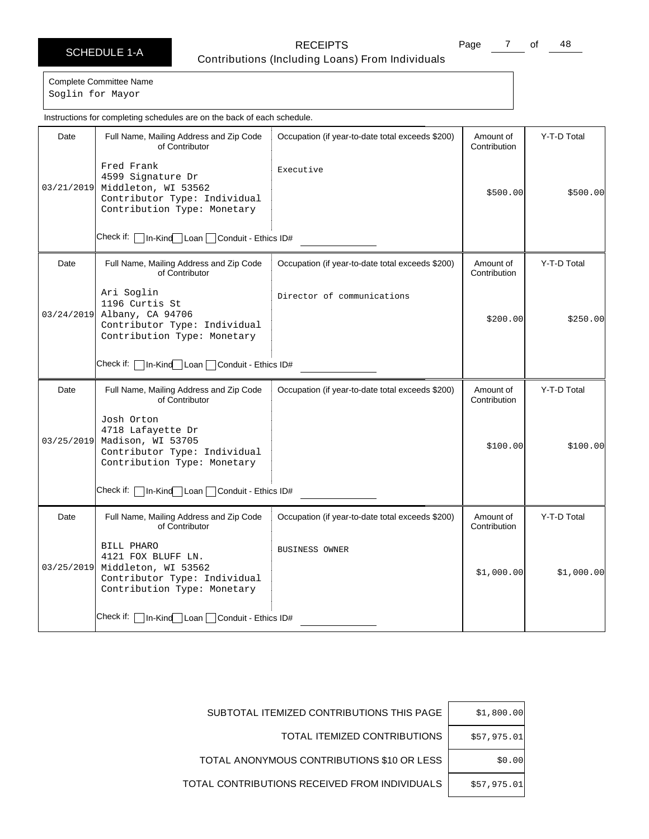Page  $\frac{7}{1}$  of  $\frac{48}{1}$ 

Complete Committee Name

Soglin for Mayor

|            | Instructions for completing schedules are on the back of each schedule.                                                |                                                  |                           |             |
|------------|------------------------------------------------------------------------------------------------------------------------|--------------------------------------------------|---------------------------|-------------|
| Date       | Full Name, Mailing Address and Zip Code<br>of Contributor                                                              | Occupation (if year-to-date total exceeds \$200) | Amount of<br>Contribution | Y-T-D Total |
| 03/21/2019 | Fred Frank<br>4599 Signature Dr<br>Middleton, WI 53562<br>Contributor Type: Individual<br>Contribution Type: Monetary  | Executive                                        | \$500.00]                 | \$500.00]   |
|            | Check if:<br>In-Kind Loan Conduit - Ethics ID#                                                                         |                                                  |                           |             |
| Date       | Full Name, Mailing Address and Zip Code<br>of Contributor                                                              | Occupation (if year-to-date total exceeds \$200) | Amount of<br>Contribution | Y-T-D Total |
| 03/24/2019 | Ari Soglin<br>1196 Curtis St<br>Albany, CA 94706<br>Contributor Type: Individual<br>Contribution Type: Monetary        | Director of communications                       | \$200.00]                 | \$250.00    |
|            | Check if:<br>In-Kind Loan Conduit - Ethics ID#                                                                         |                                                  |                           |             |
| Date       | Full Name, Mailing Address and Zip Code<br>of Contributor                                                              | Occupation (if year-to-date total exceeds \$200) | Amount of<br>Contribution | Y-T-D Total |
| 03/25/2019 | Josh Orton<br>4718 Lafayette Dr<br>Madison, WI 53705<br>Contributor Type: Individual<br>Contribution Type: Monetary    |                                                  | \$100.00]                 | \$100.00]   |
|            | Check if:<br>In-Kind Loan Conduit - Ethics ID#                                                                         |                                                  |                           |             |
| Date       | Full Name, Mailing Address and Zip Code<br>of Contributor                                                              | Occupation (if year-to-date total exceeds \$200) | Amount of<br>Contribution | Y-T-D Total |
| 03/25/2019 | BILL PHARO<br>4121 FOX BLUFF LN.<br>Middleton, WI 53562<br>Contributor Type: Individual<br>Contribution Type: Monetary | <b>BUSINESS OWNER</b>                            | \$1,000.00]               | \$1,000.00] |
|            | Check if:  ∣<br>In-Kind   Loan   Conduit - Ethics ID#                                                                  |                                                  |                           |             |

| \$1,800.00  | SUBTOTAL ITEMIZED CONTRIBUTIONS THIS PAGE     |
|-------------|-----------------------------------------------|
| \$57,975.01 | TOTAL ITEMIZED CONTRIBUTIONS                  |
| \$0.00      | TOTAL ANONYMOUS CONTRIBUTIONS \$10 OR LESS    |
| \$57,975.01 | TOTAL CONTRIBUTIONS RECEIVED FROM INDIVIDUALS |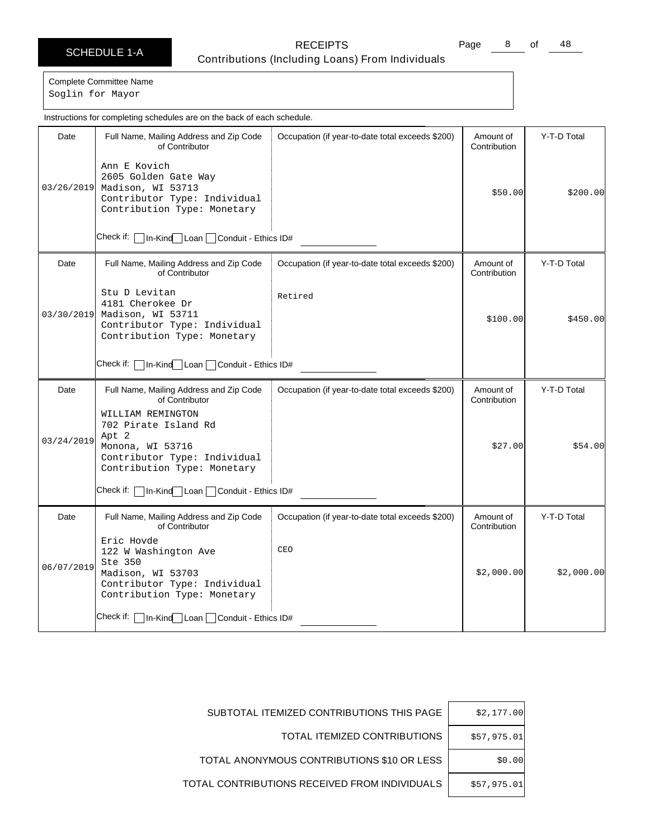Page 8 of 48

Complete Committee Name Soglin for Mayor

Date | Full Name, Mailing Address and Zip Code of Contributor Check if: | In-Kind Loan | Conduit - Ethics ID# Occupation (if year-to-date total exceeds \$200) | Amount of **Contribution** Y-T-D Total 03/26/2019 Madison, WI 53713 Ann E Kovich 2605 Golden Gate Way Contributor Type: Individual Contribution Type: Monetary \$50.00 \$200.00 Date | Full Name, Mailing Address and Zip Code of Contributor Check if:  $\Box$  In-Kind Loan  $\Box$  Conduit - Ethics ID# Occupation (if year-to-date total exceeds \$200) | Amount of **Contribution** Y-T-D Total 03/30/2019 Stu D Levitan 4181 Cherokee Dr Madison, WI 53711 Contributor Type: Individual Contribution Type: Monetary Retired  $$100.00$   $$450.00$ Date | Full Name, Mailing Address and Zip Code of Contributor Check if: | In-Kind | Loan | Conduit - Ethics ID# Occupation (if year-to-date total exceeds \$200) | Amount of Contribution Y-T-D Total 03/24/2019 WILLIAM REMINGTON 702 Pirate Island Rd Apt 2 Monona, WI 53716 Contributor Type: Individual Contribution Type: Monetary \$27.00 \$54.00 Date | Full Name, Mailing Address and Zip Code of Contributor Check if: **In-Kind** Loan Conduit - Ethics ID# Occupation (if year-to-date total exceeds \$200) | Amount of Contribution Y-T-D Total 06/07/2019 Eric Hovde 122 W Washington Ave Ste 350 Madison, WI 53703 Contributor Type: Individual Contribution Type: Monetary CEO  $$2,000.00$   $$2,000.00$ Instructions for completing schedules are on the back of each schedule.

| \$2,177.00  | SUBTOTAL ITEMIZED CONTRIBUTIONS THIS PAGE     |
|-------------|-----------------------------------------------|
| \$57,975.01 | TOTAL ITEMIZED CONTRIBUTIONS                  |
| \$0.00      | TOTAL ANONYMOUS CONTRIBUTIONS \$10 OR LESS    |
| \$57,975.01 | TOTAL CONTRIBUTIONS RECEIVED FROM INDIVIDUALS |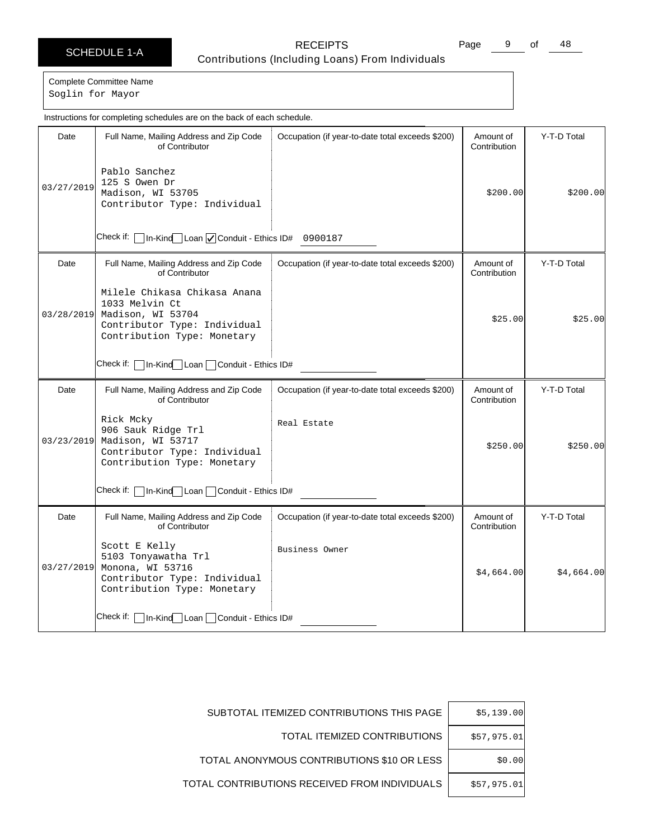Page 9 of 48

Complete Committee Name Soglin for Mayor

|            | Instructions for completing schedules are on the back of each schedule.                                                            |                                                  |                           |             |
|------------|------------------------------------------------------------------------------------------------------------------------------------|--------------------------------------------------|---------------------------|-------------|
| Date       | Full Name, Mailing Address and Zip Code<br>of Contributor                                                                          | Occupation (if year-to-date total exceeds \$200) | Amount of<br>Contribution | Y-T-D Total |
| 03/27/2019 | Pablo Sanchez<br>125 S Owen Dr<br>Madison, WI 53705<br>Contributor Type: Individual                                                |                                                  | \$200.00                  | \$200.00    |
|            | 1n-Kind Loan   Conduit - Ethics ID# 0900187<br>Check if: [                                                                         |                                                  |                           |             |
| Date       | Full Name, Mailing Address and Zip Code<br>of Contributor                                                                          | Occupation (if year-to-date total exceeds \$200) | Amount of<br>Contribution | Y-T-D Total |
| 03/28/2019 | Milele Chikasa Chikasa Anana<br>1033 Melvin Ct<br>Madison, WI 53704<br>Contributor Type: Individual<br>Contribution Type: Monetary |                                                  | \$25.00                   | \$25.00     |
|            | Check if: l<br>In-Kind Loan Conduit - Ethics ID#                                                                                   |                                                  |                           |             |
| Date       | Full Name, Mailing Address and Zip Code<br>of Contributor                                                                          | Occupation (if year-to-date total exceeds \$200) | Amount of<br>Contribution | Y-T-D Total |
| 03/23/2019 | Rick Mcky<br>906 Sauk Ridge Trl<br>Madison, WI 53717<br>Contributor Type: Individual<br>Contribution Type: Monetary                | Real Estate                                      | \$250.00                  | \$250.00    |
|            | Check if:   In-Kind Loan   Conduit - Ethics ID#                                                                                    |                                                  |                           |             |
| Date       | Full Name, Mailing Address and Zip Code<br>of Contributor                                                                          | Occupation (if year-to-date total exceeds \$200) | Amount of<br>Contribution | Y-T-D Total |
| 03/27/2019 | Scott E Kelly<br>5103 Tonyawatha Trl<br>Monona, WI 53716<br>Contributor Type: Individual<br>Contribution Type: Monetary            | Business Owner                                   | \$4,664.00                | \$4,664.00  |
|            | Check if:   In-Kind Loan   Conduit - Ethics ID#                                                                                    |                                                  |                           |             |

| \$5,139.00  | SUBTOTAL ITEMIZED CONTRIBUTIONS THIS PAGE     |
|-------------|-----------------------------------------------|
| \$57,975.01 | TOTAL ITEMIZED CONTRIBUTIONS                  |
| \$0.00      | TOTAL ANONYMOUS CONTRIBUTIONS \$10 OR LESS    |
| \$57,975.01 | TOTAL CONTRIBUTIONS RECEIVED FROM INDIVIDUALS |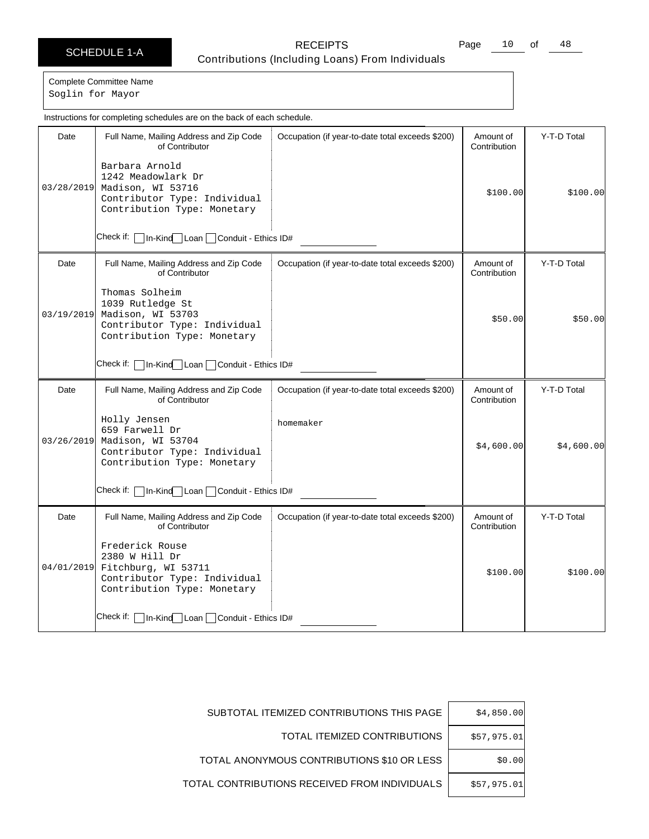Page 10 of 48

Complete Committee Name Soglin for Mayor

Date | Full Name, Mailing Address and Zip Code of Contributor Check if: | In-Kind Loan | Conduit - Ethics ID# Occupation (if year-to-date total exceeds \$200) | Amount of **Contribution** Y-T-D Total 03/28/2019 Madison, WI 53716 Barbara Arnold 1242 Meadowlark Dr Contributor Type: Individual Contribution Type: Monetary \$100.00 \$100.00 Date | Full Name, Mailing Address and Zip Code of Contributor Check if:  $\Box$  In-Kind Loan  $\Box$  Conduit - Ethics ID# Occupation (if year-to-date total exceeds \$200) | Amount of **Contribution** Y-T-D Total 03/19/2019 Thomas Solheim 1039 Rutledge St Madison, WI 53703 Contributor Type: Individual Contribution Type: Monetary \$50.00 \$50.00 Date | Full Name, Mailing Address and Zip Code of Contributor Check if: | In-Kind | Loan | Conduit - Ethics ID# Occupation (if year-to-date total exceeds \$200) | Amount of Contribution Y-T-D Total 03/26/2019 Holly Jensen 659 Farwell Dr Madison, WI 53704 Contributor Type: Individual Contribution Type: Monetary homemaker  $$4,600.00$   $$4,600.00$ Date | Full Name, Mailing Address and Zip Code of Contributor Check if: | In-Kind Loan | Conduit - Ethics ID# Occupation (if year-to-date total exceeds \$200) | Amount of **Contribution** Y-T-D Total 04/01/2019 Fitchburg, WI 53711 Frederick Rouse 2380 W Hill Dr Contributor Type: Individual Contribution Type: Monetary  $$100.00$   $$100.00$ Instructions for completing schedules are on the back of each schedule.

| \$4,850.00  | SUBTOTAL ITEMIZED CONTRIBUTIONS THIS PAGE     |
|-------------|-----------------------------------------------|
| \$57,975.01 | TOTAL ITEMIZED CONTRIBUTIONS                  |
| \$0.00      | TOTAL ANONYMOUS CONTRIBUTIONS \$10 OR LESS    |
| \$57,975.01 | TOTAL CONTRIBUTIONS RECEIVED FROM INDIVIDUALS |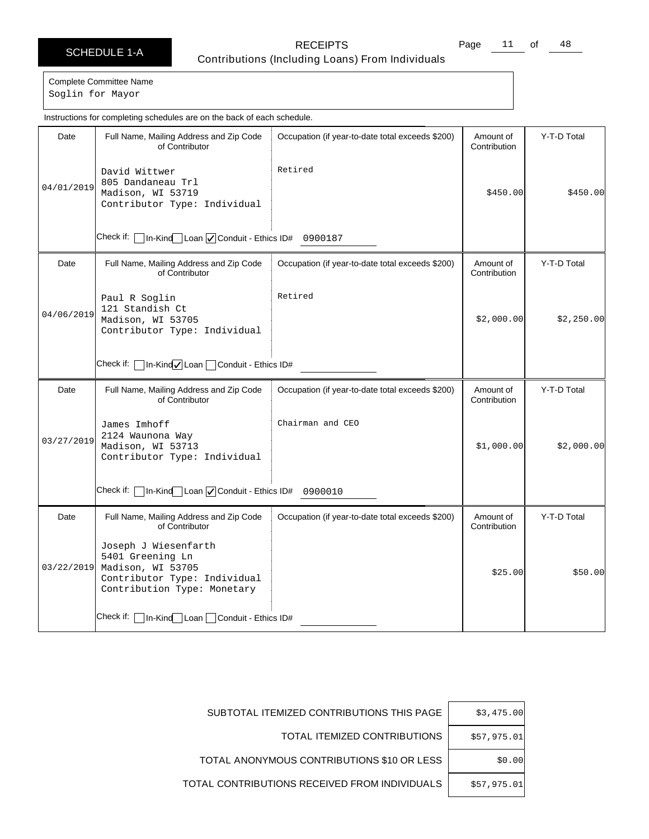Page 11 of 48

### Complete Committee Name Soglin for Mayor

|            | Instructions for completing schedules are on the back of each schedule.                                                                 |                                                  |                           |             |  |
|------------|-----------------------------------------------------------------------------------------------------------------------------------------|--------------------------------------------------|---------------------------|-------------|--|
| Date       | Full Name, Mailing Address and Zip Code<br>of Contributor                                                                               | Occupation (if year-to-date total exceeds \$200) | Amount of<br>Contribution | Y-T-D Total |  |
| 04/01/2019 | David Wittwer<br>805 Dandaneau Trl<br>Madison, WI 53719<br>Contributor Type: Individual                                                 | Retired                                          | \$450.00                  | \$450.00    |  |
|            | Check if:<br>1n-Kind Loan   Conduit - Ethics ID# 0900187                                                                                |                                                  |                           |             |  |
| Date       | Full Name, Mailing Address and Zip Code<br>of Contributor                                                                               | Occupation (if year-to-date total exceeds \$200) | Amount of<br>Contribution | Y-T-D Total |  |
| 04/06/2019 | Paul R Soglin<br>121 Standish Ct<br>Madison, WI 53705<br>Contributor Type: Individual                                                   | Retired                                          | \$2,000.00                | \$2,250.00  |  |
|            | In-Kind√Loan Conduit - Ethics ID#<br>Check if:                                                                                          |                                                  |                           |             |  |
| Date       | Full Name, Mailing Address and Zip Code<br>of Contributor                                                                               | Occupation (if year-to-date total exceeds \$200) | Amount of<br>Contribution | Y-T-D Total |  |
| 03/27/2019 | James Imhoff<br>2124 Waunona Way<br>Madison, WI 53713<br>Contributor Type: Individual                                                   | Chairman and CEO                                 | \$1,000.00]               | \$2,000.00] |  |
|            | In-Kind Loan O Conduit - Ethics ID# 0900010<br>Check if:                                                                                |                                                  |                           |             |  |
| Date       | Full Name, Mailing Address and Zip Code<br>of Contributor                                                                               | Occupation (if year-to-date total exceeds \$200) | Amount of<br>Contribution | Y-T-D Total |  |
|            | Joseph J Wiesenfarth<br>5401 Greening Ln<br>03/22/2019 Madison, WI 53705<br>Contributor Type: Individual<br>Contribution Type: Monetary |                                                  | \$25.00                   | \$50.00     |  |
|            | Check if: $\Box$ In-Kind Loan $\Box$ Conduit - Ethics ID#                                                                               |                                                  |                           |             |  |

| \$3,475.00  | SUBTOTAL ITEMIZED CONTRIBUTIONS THIS PAGE     |
|-------------|-----------------------------------------------|
| \$57,975.01 | TOTAL ITEMIZED CONTRIBUTIONS                  |
| \$0.00      | TOTAL ANONYMOUS CONTRIBUTIONS \$10 OR LESS    |
| \$57,975.01 | TOTAL CONTRIBUTIONS RECEIVED FROM INDIVIDUALS |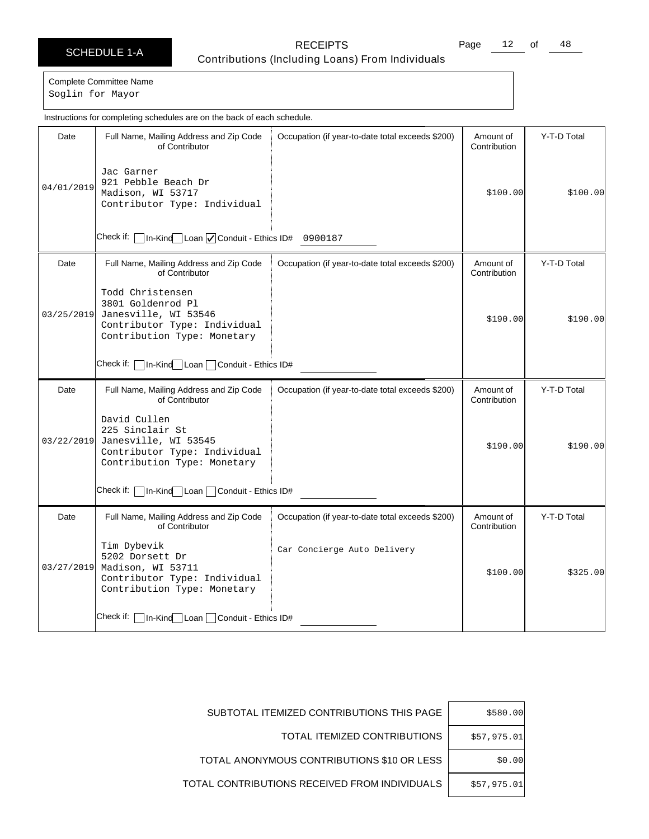Page 12 of 48

Complete Committee Name Soglin for Mayor

Date | Full Name, Mailing Address and Zip Code of Contributor Check if: | In-Kind Loan | Conduit - Ethics ID# 0900187 Occupation (if year-to-date total exceeds \$200) | Amount of **Contribution** Y-T-D Total 04/01/2019 Jac Garner 921 Pebble Beach Dr Madison, WI 53717 Contributor Type: Individual \$100.00 \$100.00 Date | Full Name, Mailing Address and Zip Code of Contributor Check if:  $\Box$  In-Kind Loan  $\Box$  Conduit - Ethics ID# Occupation (if year-to-date total exceeds \$200) | Amount of **Contribution** Y-T-D Total 03/25/2019 Todd Christensen 3801 Goldenrod Pl Janesville, WI 53546 Contributor Type: Individual Contribution Type: Monetary  $$190.00$   $$190.00$ Date | Full Name, Mailing Address and Zip Code of Contributor Check if: | In-Kind | Loan | Conduit - Ethics ID# Occupation (if year-to-date total exceeds \$200) | Amount of Contribution Y-T-D Total 03/22/2019 David Cullen 225 Sinclair St Janesville, WI 53545 Contributor Type: Individual Contribution Type: Monetary \$190.00 \$190.00 Date | Full Name, Mailing Address and Zip Code of Contributor Check if: | In-Kind Loan | Conduit - Ethics ID# Occupation (if year-to-date total exceeds \$200) | Amount of Contribution Y-T-D Total 03/27/2019 Madison, WI 53711 Tim Dybevik 5202 Dorsett Dr Contributor Type: Individual Contribution Type: Monetary Car Concierge Auto Delivery  $$100.00$   $$325.00$ Instructions for completing schedules are on the back of each schedule.

| \$580.00    | SUBTOTAL ITEMIZED CONTRIBUTIONS THIS PAGE     |
|-------------|-----------------------------------------------|
| \$57,975.01 | TOTAL ITEMIZED CONTRIBUTIONS                  |
| \$0.00      | TOTAL ANONYMOUS CONTRIBUTIONS \$10 OR LESS    |
| \$57,975.01 | TOTAL CONTRIBUTIONS RECEIVED FROM INDIVIDUALS |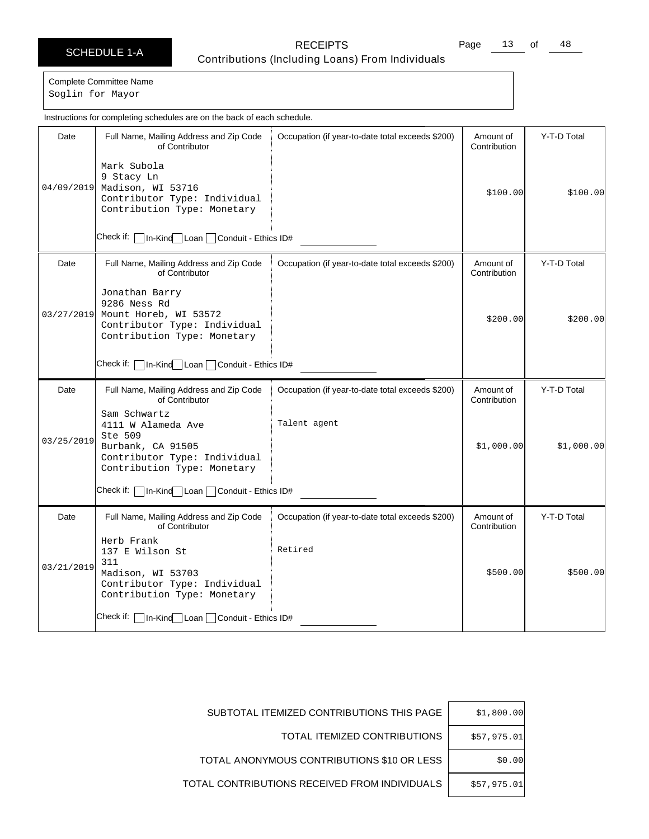Page 13 of 48

Complete Committee Name Soglin for Mayor

Date | Full Name, Mailing Address and Zip Code of Contributor Check if: In-Kind Loan Conduit - Ethics ID# Occupation (if year-to-date total exceeds \$200) | Amount of **Contribution** Y-T-D Total 04/09/2019 Madison, WI 53716 Mark Subola 9 Stacy Ln Contributor Type: Individual Contribution Type: Monetary \$100.00 \$100.00 Date Full Name, Mailing Address and Zip Code of Contributor Check if:  $\Box$  In-Kind Loan  $\Box$  Conduit - Ethics ID# Occupation (if year-to-date total exceeds \$200) | Amount of **Contribution** Y-T-D Total 03/27/2019 Jonathan Barry 9286 Ness Rd Mount Horeb, WI 53572 Contributor Type: Individual Contribution Type: Monetary  $$200.00$   $$200.00$ Date | Full Name, Mailing Address and Zip Code of Contributor Check if: | In-Kind Loan | Conduit - Ethics ID# Occupation (if year-to-date total exceeds \$200) | Amount of Contribution Y-T-D Total 03/25/2019 Sam Schwartz 4111 W Alameda Ave Ste 509 Burbank, CA 91505 Contributor Type: Individual Contribution Type: Monetary Talent agent \$1,000.00 \$1,000.00 Date | Full Name, Mailing Address and Zip Code of Contributor Check if: **In-Kind** Loan Conduit - Ethics ID# Occupation (if year-to-date total exceeds \$200) | Amount of Contribution Y-T-D Total 03/21/2019 Herb Frank 137 E Wilson St 311 Madison, WI 53703 Contributor Type: Individual Contribution Type: Monetary Retired \$500.00 \$500.00 Instructions for completing schedules are on the back of each schedule.

| \$1,800.00  | SUBTOTAL ITEMIZED CONTRIBUTIONS THIS PAGE     |
|-------------|-----------------------------------------------|
| \$57,975.01 | TOTAL ITEMIZED CONTRIBUTIONS                  |
| \$0.00      | TOTAL ANONYMOUS CONTRIBUTIONS \$10 OR LESS    |
| \$57,975.01 | TOTAL CONTRIBUTIONS RECEIVED FROM INDIVIDUALS |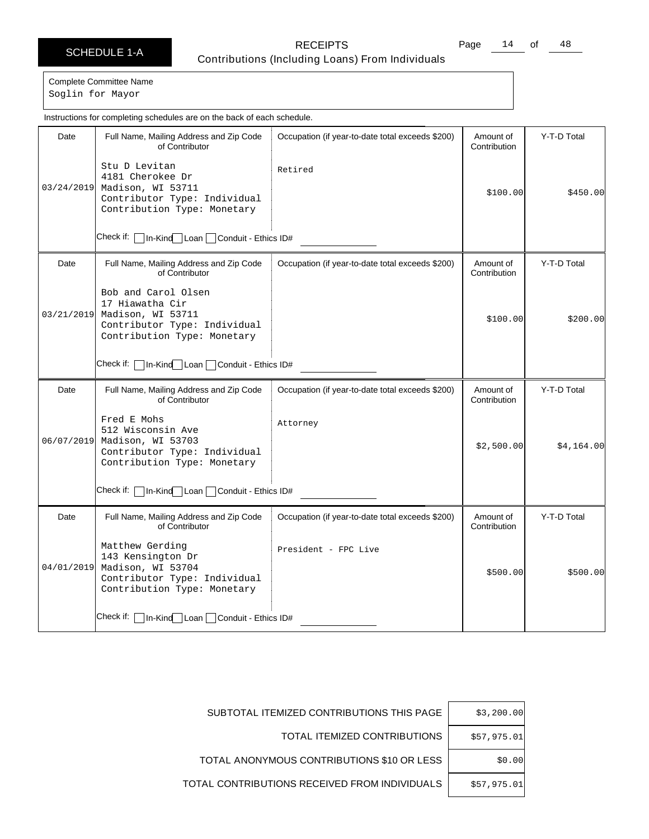Page 14 of 48

Complete Committee Name

Soglin for Mayor

|                                                 | Instructions for completing schedules are on the back of each schedule.                                                    |                                                  |                           |             |  |
|-------------------------------------------------|----------------------------------------------------------------------------------------------------------------------------|--------------------------------------------------|---------------------------|-------------|--|
| Date                                            | Full Name, Mailing Address and Zip Code<br>of Contributor                                                                  | Occupation (if year-to-date total exceeds \$200) | Amount of<br>Contribution | Y-T-D Total |  |
| 03/24/2019                                      | Stu D Levitan<br>4181 Cherokee Dr<br>Madison, WI 53711<br>Contributor Type: Individual<br>Contribution Type: Monetary      | Retired                                          | \$100.00]                 | \$450.00    |  |
|                                                 | Check if:   In-Kind Loan   Conduit - Ethics ID#                                                                            |                                                  |                           |             |  |
| Date                                            | Full Name, Mailing Address and Zip Code<br>of Contributor                                                                  | Occupation (if year-to-date total exceeds \$200) | Amount of<br>Contribution | Y-T-D Total |  |
| 03/21/2019                                      | Bob and Carol Olsen<br>17 Hiawatha Cir<br>Madison, WI 53711<br>Contributor Type: Individual<br>Contribution Type: Monetary |                                                  | \$100.00]                 | \$200.00]   |  |
| Check if:   In-Kind Loan   Conduit - Ethics ID# |                                                                                                                            |                                                  |                           |             |  |
| Date                                            | Full Name, Mailing Address and Zip Code<br>of Contributor                                                                  | Occupation (if year-to-date total exceeds \$200) | Amount of<br>Contribution | Y-T-D Total |  |
| 06/07/2019                                      | Fred E Mohs<br>512 Wisconsin Ave<br>Madison, WI 53703<br>Contributor Type: Individual<br>Contribution Type: Monetary       | Attorney                                         | \$2,500.00                | \$4,164.00  |  |
| Check if:   In-Kind Loan   Conduit - Ethics ID# |                                                                                                                            |                                                  |                           |             |  |
| Date                                            | Full Name, Mailing Address and Zip Code<br>of Contributor                                                                  | Occupation (if year-to-date total exceeds \$200) | Amount of<br>Contribution | Y-T-D Total |  |
| 04/01/2019                                      | Matthew Gerding<br>143 Kensington Dr<br>Madison, WI 53704<br>Contributor Type: Individual<br>Contribution Type: Monetary   | President - FPC Live                             | \$500.00                  | \$500.00]   |  |
|                                                 | Check if:   In-Kind   Loan   Conduit - Ethics ID#                                                                          |                                                  |                           |             |  |

| \$3,200.00  | SUBTOTAL ITEMIZED CONTRIBUTIONS THIS PAGE     |
|-------------|-----------------------------------------------|
| \$57,975.01 | TOTAL ITEMIZED CONTRIBUTIONS                  |
| \$0.00      | TOTAL ANONYMOUS CONTRIBUTIONS \$10 OR LESS    |
| \$57,975.01 | TOTAL CONTRIBUTIONS RECEIVED FROM INDIVIDUALS |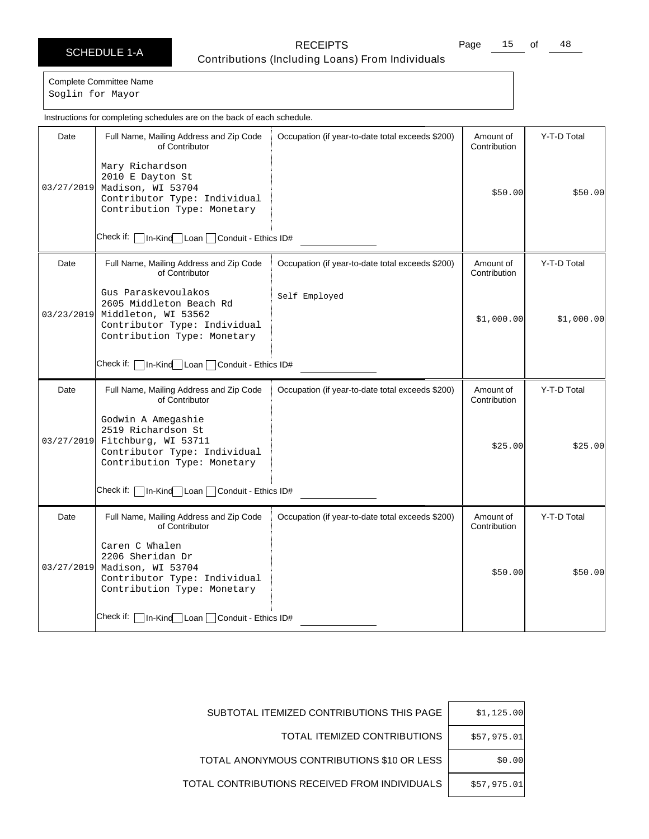Page 15 of 48

Complete Committee Name Soglin for Mayor

Date | Full Name, Mailing Address and Zip Code of Contributor Check if: | In-Kind Loan | Conduit - Ethics ID# Occupation (if year-to-date total exceeds \$200) | Amount of **Contribution** Y-T-D Total 03/27/2019 Madison, WI 53704 Mary Richardson 2010 E Dayton St Contributor Type: Individual Contribution Type: Monetary \$50.00 \$50.00 Date | Full Name, Mailing Address and Zip Code of Contributor Check if: | In-Kind Loan | Conduit - Ethics ID# Occupation (if year-to-date total exceeds \$200) | Amount of **Contribution** Y-T-D Total 03/23/2019 Gus Paraskevoulakos 2605 Middleton Beach Rd Middleton, WI 53562 Contributor Type: Individual Contribution Type: Monetary Self Employed \$1,000.00 \$1,000.00 Date | Full Name, Mailing Address and Zip Code of Contributor Check if: | In-Kind | Loan | Conduit - Ethics ID# Occupation (if year-to-date total exceeds \$200) | Amount of Contribution Y-T-D Total 03/27/2019 Godwin A Amegashie 2519 Richardson St Fitchburg, WI 53711 Contributor Type: Individual Contribution Type: Monetary \$25.00 \$25.00 Date | Full Name, Mailing Address and Zip Code of Contributor Check if: **In-Kind** Loan Conduit - Ethics ID# Occupation (if year-to-date total exceeds \$200) | Amount of Contribution Y-T-D Total 03/27/2019 Caren C Whalen 2206 Sheridan Dr Madison, WI 53704 Contributor Type: Individual Contribution Type: Monetary \$50.00 \$50.00 Instructions for completing schedules are on the back of each schedule.

| \$1,125.00  | SUBTOTAL ITEMIZED CONTRIBUTIONS THIS PAGE     |
|-------------|-----------------------------------------------|
| \$57,975.01 | TOTAL ITEMIZED CONTRIBUTIONS                  |
| \$0.00      | TOTAL ANONYMOUS CONTRIBUTIONS \$10 OR LESS    |
| \$57.975.01 | TOTAL CONTRIBUTIONS RECEIVED FROM INDIVIDUALS |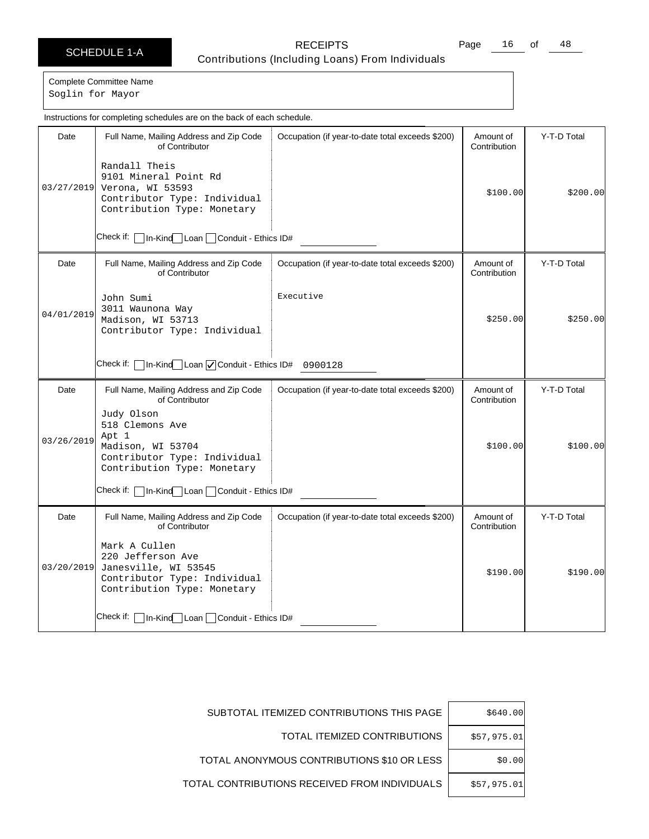Page 16 of 48

Complete Committee Name Soglin for Mayor

Date | Full Name, Mailing Address and Zip Code of Contributor Check if: | In-Kind Loan | Conduit - Ethics ID# Occupation (if year-to-date total exceeds \$200) | Amount of **Contribution** Y-T-D Total 03/27/2019 Randall Theis 9101 Mineral Point Rd Verona, WI 53593 Contributor Type: Individual Contribution Type: Monetary \$100.00 \$200.00 Date | Full Name, Mailing Address and Zip Code of Contributor Check if: | In-Kind Loan | Conduit - Ethics ID# 0900128 Occupation (if year-to-date total exceeds \$200) | Amount of **Contribution** Y-T-D Total 04/01/2019 John Sumi 3011 Waunona Way Madison, WI 53713 Contributor Type: Individual Executive \$250.00 \$250.00 Date | Full Name, Mailing Address and Zip Code of Contributor Check if: In-Kind Loan Conduit - Ethics ID# Occupation (if year-to-date total exceeds \$200) | Amount of Contribution Y-T-D Total 03/26/2019 Judy Olson 518 Clemons Ave Apt 1 Madison, WI 53704 Contributor Type: Individual Contribution Type: Monetary \$100.00 \$100.00 Date | Full Name, Mailing Address and Zip Code of Contributor Check if: | In-Kind Loan | Conduit - Ethics ID# Occupation (if year-to-date total exceeds \$200) | Amount of Contribution Y-T-D Total 03/20/2019 Mark A Cullen 220 Jefferson Ave Janesville, WI 53545 Contributor Type: Individual Contribution Type: Monetary  $$190.00$   $$190.00$ Instructions for completing schedules are on the back of each schedule.

| \$640.00    | SUBTOTAL ITEMIZED CONTRIBUTIONS THIS PAGE     |
|-------------|-----------------------------------------------|
| \$57,975.01 | TOTAL ITEMIZED CONTRIBUTIONS                  |
| \$0.00      | TOTAL ANONYMOUS CONTRIBUTIONS \$10 OR LESS    |
| \$57,975.01 | TOTAL CONTRIBUTIONS RECEIVED FROM INDIVIDUALS |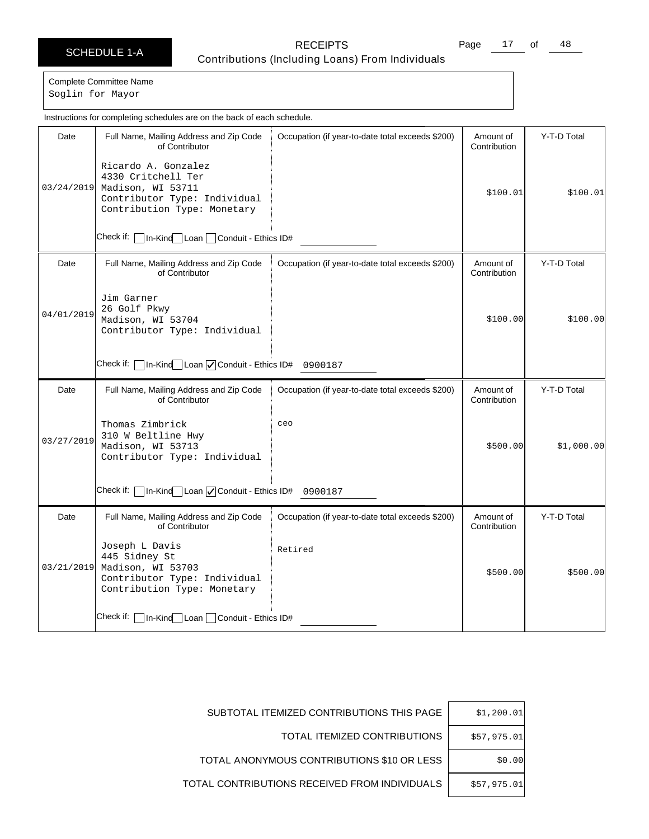Page 17 of 48

Complete Committee Name Soglin for Mayor

|                                                                          | Instructions for completing schedules are on the back of each schedule.                                                       |                                                  |                           |             |  |
|--------------------------------------------------------------------------|-------------------------------------------------------------------------------------------------------------------------------|--------------------------------------------------|---------------------------|-------------|--|
| Date                                                                     | Full Name, Mailing Address and Zip Code<br>of Contributor                                                                     | Occupation (if year-to-date total exceeds \$200) | Amount of<br>Contribution | Y-T-D Total |  |
| 03/24/2019                                                               | Ricardo A. Gonzalez<br>4330 Critchell Ter<br>Madison, WI 53711<br>Contributor Type: Individual<br>Contribution Type: Monetary |                                                  | \$100.01                  | \$100.01    |  |
|                                                                          | Check if:   In-Kind Loan  <br>Conduit - Ethics ID#                                                                            |                                                  |                           |             |  |
| Date                                                                     | Full Name, Mailing Address and Zip Code<br>of Contributor                                                                     | Occupation (if year-to-date total exceeds \$200) | Amount of<br>Contribution | Y-T-D Total |  |
| 04/01/2019                                                               | Jim Garner<br>26 Golf Pkwy<br>Madison, WI 53704<br>Contributor Type: Individual                                               |                                                  | \$100.00]                 | \$100.00]   |  |
| Check if: $\Box$ In-Kind Loan $\Box$ Conduit - Ethics ID# 0900187        |                                                                                                                               |                                                  |                           |             |  |
| Date                                                                     | Full Name, Mailing Address and Zip Code<br>of Contributor                                                                     | Occupation (if year-to-date total exceeds \$200) | Amount of<br>Contribution | Y-T-D Total |  |
| 03/27/2019                                                               | Thomas Zimbrick<br>310 W Beltline Hwy<br>Madison, WI 53713<br>Contributor Type: Individual                                    | ceo                                              | \$500.00                  | \$1,000.00] |  |
| Check if: $\Box$ In-Kind $\Box$ Loan $\Box$ Conduit - Ethics ID# 0900187 |                                                                                                                               |                                                  |                           |             |  |
| Date                                                                     | Full Name, Mailing Address and Zip Code<br>of Contributor                                                                     | Occupation (if year-to-date total exceeds \$200) | Amount of<br>Contribution | Y-T-D Total |  |
| 03/21/2019                                                               | Joseph L Davis<br>445 Sidney St<br>Madison, WI 53703<br>Contributor Type: Individual<br>Contribution Type: Monetary           | Retired                                          | \$500.00]                 | \$500.00]   |  |
|                                                                          | Check if:   In-Kind Loan   Conduit - Ethics ID#                                                                               |                                                  |                           |             |  |

| \$1,200.01  | SUBTOTAL ITEMIZED CONTRIBUTIONS THIS PAGE     |
|-------------|-----------------------------------------------|
| \$57,975.01 | TOTAL ITEMIZED CONTRIBUTIONS                  |
| \$0.00      | TOTAL ANONYMOUS CONTRIBUTIONS \$10 OR LESS    |
| \$57,975.01 | TOTAL CONTRIBUTIONS RECEIVED FROM INDIVIDUALS |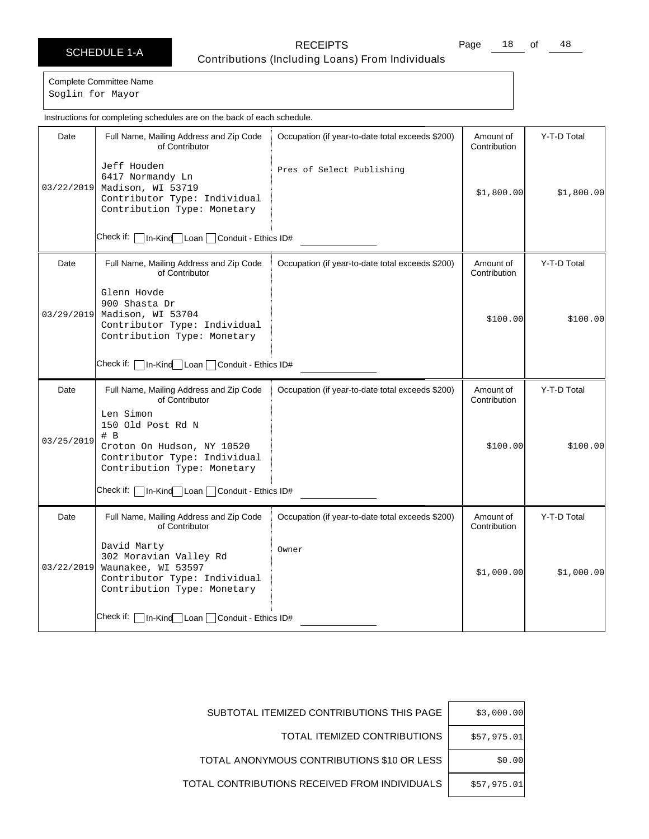Page 18 of 48

Complete Committee Name

Soglin for Mayor

|            | Instructions for completing schedules are on the back of each schedule.                                                                                                               |                                                  |                           |             |  |
|------------|---------------------------------------------------------------------------------------------------------------------------------------------------------------------------------------|--------------------------------------------------|---------------------------|-------------|--|
| Date       | Full Name, Mailing Address and Zip Code<br>of Contributor                                                                                                                             | Occupation (if year-to-date total exceeds \$200) | Amount of<br>Contribution | Y-T-D Total |  |
| 03/22/2019 | Jeff Houden<br>6417 Normandy Ln<br>Madison, WI 53719<br>Contributor Type: Individual<br>Contribution Type: Monetary                                                                   | Pres of Select Publishing                        | \$1,800.00]               | \$1,800.00  |  |
|            | Check if: [<br>In-Kind Loan Conduit - Ethics ID#                                                                                                                                      |                                                  |                           |             |  |
| Date       | Full Name, Mailing Address and Zip Code<br>of Contributor                                                                                                                             | Occupation (if year-to-date total exceeds \$200) | Amount of<br>Contribution | Y-T-D Total |  |
| 03/29/2019 | Glenn Hovde<br>900 Shasta Dr<br>Madison, WI 53704<br>Contributor Type: Individual<br>Contribution Type: Monetary                                                                      |                                                  | \$100.00]                 | \$100.00]   |  |
|            | Check if:   In-Kind   Loan   Conduit - Ethics ID#                                                                                                                                     |                                                  |                           |             |  |
| Date       | Full Name, Mailing Address and Zip Code<br>of Contributor                                                                                                                             | Occupation (if year-to-date total exceeds \$200) | Amount of<br>Contribution | Y-T-D Total |  |
| 03/25/2019 | Len Simon<br>150 Old Post Rd N<br># B<br>Croton On Hudson, NY 10520<br>Contributor Type: Individual<br>Contribution Type: Monetary<br>Check if:   In-Kind Loan   Conduit - Ethics ID# |                                                  | \$100.00                  | \$100.00]   |  |
|            |                                                                                                                                                                                       |                                                  |                           |             |  |
| Date       | Full Name, Mailing Address and Zip Code<br>of Contributor                                                                                                                             | Occupation (if year-to-date total exceeds \$200) | Amount of<br>Contribution | Y-T-D Total |  |
| 03/22/2019 | David Marty<br>302 Moravian Valley Rd<br>Waunakee, WI 53597<br>Contributor Type: Individual<br>Contribution Type: Monetary                                                            | Owner                                            | \$1,000.00                | \$1,000.00] |  |
|            | Check if:   In-Kind Loan   Conduit - Ethics ID#                                                                                                                                       |                                                  |                           |             |  |

| \$3,000.00  | SUBTOTAL ITEMIZED CONTRIBUTIONS THIS PAGE     |
|-------------|-----------------------------------------------|
| \$57,975.01 | TOTAL ITEMIZED CONTRIBUTIONS                  |
| \$0.00      | TOTAL ANONYMOUS CONTRIBUTIONS \$10 OR LESS    |
| \$57.975.01 | TOTAL CONTRIBUTIONS RECEIVED FROM INDIVIDUALS |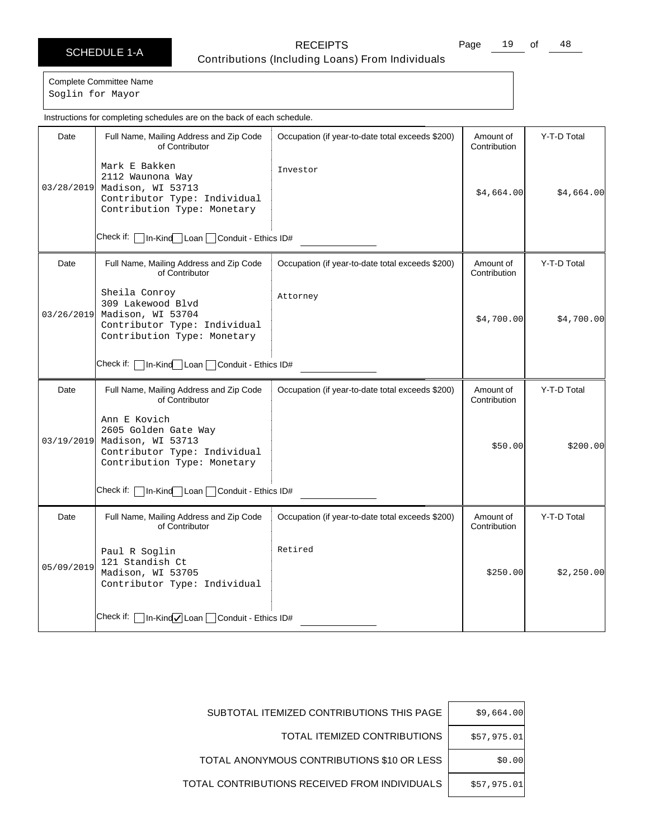Page 19 of 48

Complete Committee Name Soglin for Mayor

Date | Full Name, Mailing Address and Zip Code of Contributor Check if: | In-Kind Loan | Conduit - Ethics ID# Occupation (if year-to-date total exceeds \$200) | Amount of **Contribution** Y-T-D Total 03/28/2019 Madison, WI 53713 Mark E Bakken 2112 Waunona Way Contributor Type: Individual Contribution Type: Monetary Investor  $$4,664.00$   $$4,664.00$ Date | Full Name, Mailing Address and Zip Code of Contributor Check if:  $\Box$  In-Kind Loan  $\Box$  Conduit - Ethics ID# Occupation (if year-to-date total exceeds \$200) | Amount of Contribution Y-T-D Total 03/26/2019 Sheila Conroy 309 Lakewood Blvd Madison, WI 53704 Contributor Type: Individual Contribution Type: Monetary Attorney \$4,700.00 \$4,700.00 Date | Full Name, Mailing Address and Zip Code of Contributor Check if: | In-Kind Loan | Conduit - Ethics ID# Occupation (if year-to-date total exceeds \$200) | Amount of Contribution Y-T-D Total 03/19/2019 Ann E Kovich 2605 Golden Gate Way Madison, WI 53713 Contributor Type: Individual Contribution Type: Monetary \$50.00 \$200.00 Date | Full Name, Mailing Address and Zip Code of Contributor Check if: | In-Kind√Loan | Conduit - Ethics ID# Occupation (if year-to-date total exceeds \$200) | Amount of Contribution Y-T-D Total 05/09/2019 Paul R Soglin 121 Standish Ct Madison, WI 53705 Contributor Type: Individual Retired  $$250.00$   $$2,250.00$ Instructions for completing schedules are on the back of each schedule.

| \$9,664.00  | SUBTOTAL ITEMIZED CONTRIBUTIONS THIS PAGE     |
|-------------|-----------------------------------------------|
| \$57,975.01 | TOTAL ITEMIZED CONTRIBUTIONS                  |
| \$0.00      | TOTAL ANONYMOUS CONTRIBUTIONS \$10 OR LESS    |
| \$57.975.01 | TOTAL CONTRIBUTIONS RECEIVED FROM INDIVIDUALS |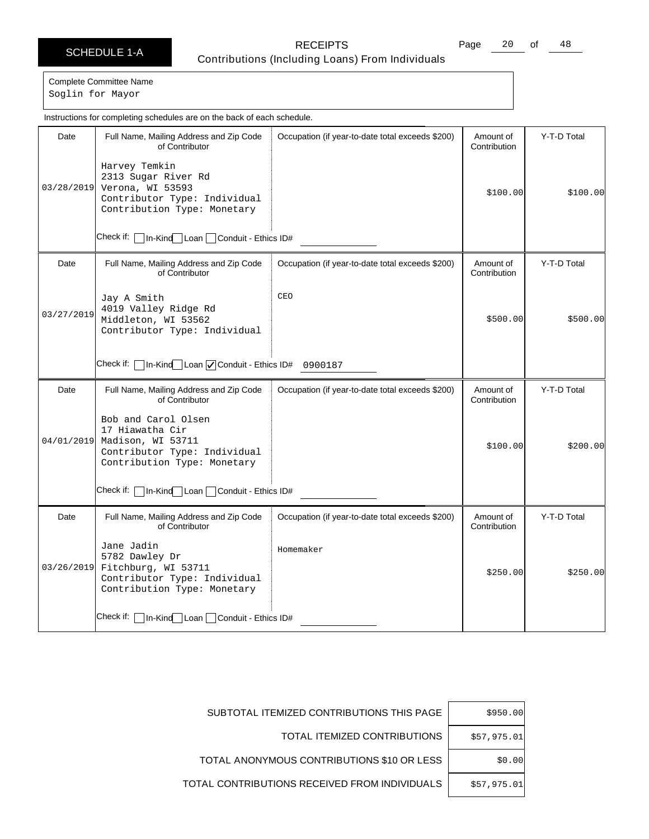Page 20 of 48

Complete Committee Name Soglin for Mayor

|            | Instructions for completing schedules are on the back of each schedule.                                                    |                                                  |                           |             |
|------------|----------------------------------------------------------------------------------------------------------------------------|--------------------------------------------------|---------------------------|-------------|
| Date       | Full Name, Mailing Address and Zip Code<br>of Contributor<br>Harvey Temkin                                                 | Occupation (if year-to-date total exceeds \$200) | Amount of<br>Contribution | Y-T-D Total |
| 03/28/2019 | 2313 Sugar River Rd<br>Verona, WI 53593<br>Contributor Type: Individual<br>Contribution Type: Monetary                     |                                                  | \$100.00]                 | \$100.00]   |
|            | Check if: I<br>1n-Kind Loan Conduit - Ethics ID#                                                                           |                                                  |                           |             |
| Date       | Full Name, Mailing Address and Zip Code<br>of Contributor                                                                  | Occupation (if year-to-date total exceeds \$200) | Amount of<br>Contribution | Y-T-D Total |
| 03/27/2019 | Jay A Smith<br>4019 Valley Ridge Rd<br>Middleton, WI 53562<br>Contributor Type: Individual                                 | CEO                                              | \$500.00                  | \$500.00]   |
|            | Check if: $\Box$ In-Kind $\Box$ Loan $\Box$ Conduit - Ethics ID# 0900187                                                   |                                                  |                           |             |
| Date       | Full Name, Mailing Address and Zip Code<br>of Contributor                                                                  | Occupation (if year-to-date total exceeds \$200) | Amount of<br>Contribution | Y-T-D Total |
| 04/01/2019 | Bob and Carol Olsen<br>17 Hiawatha Cir<br>Madison, WI 53711<br>Contributor Type: Individual<br>Contribution Type: Monetary |                                                  | \$100.00                  | \$200.00]   |
|            | Check if: [<br>In-Kind Loan Conduit - Ethics ID#                                                                           |                                                  |                           |             |
| Date       | Full Name, Mailing Address and Zip Code<br>of Contributor                                                                  | Occupation (if year-to-date total exceeds \$200) | Amount of<br>Contribution | Y-T-D Total |
| 03/26/2019 | Jane Jadin<br>5782 Dawley Dr<br>Fitchburg, WI 53711<br>Contributor Type: Individual<br>Contribution Type: Monetary         | Homemaker                                        | \$250.00                  | \$250.00    |
|            | Check if: [<br>In-Kind Loan Conduit - Ethics ID#                                                                           |                                                  |                           |             |

| \$950.00    | SUBTOTAL ITEMIZED CONTRIBUTIONS THIS PAGE     |
|-------------|-----------------------------------------------|
| \$57,975.01 | TOTAL ITEMIZED CONTRIBUTIONS                  |
| \$0.00      | TOTAL ANONYMOUS CONTRIBUTIONS \$10 OR LESS    |
| \$57,975.01 | TOTAL CONTRIBUTIONS RECEIVED FROM INDIVIDUALS |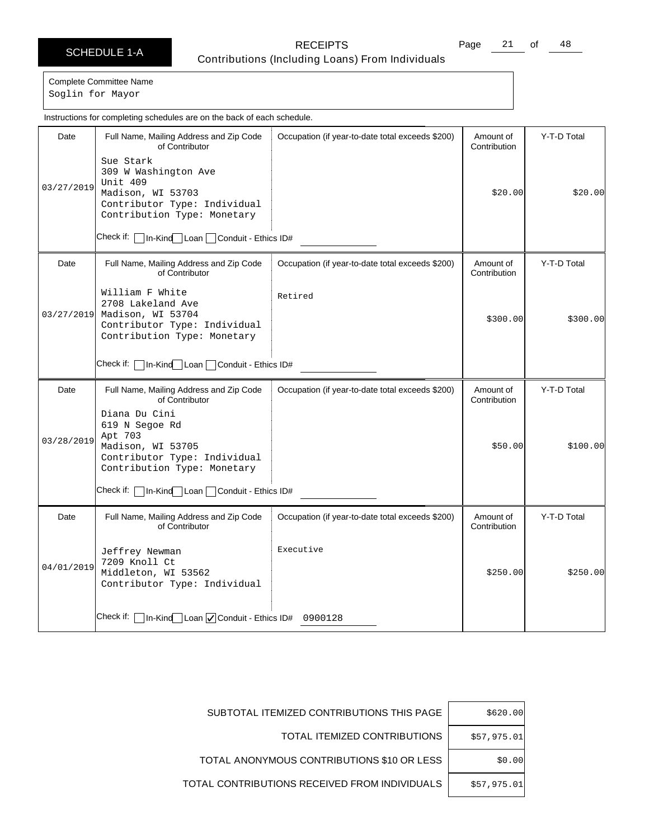Page 21 of 48

Complete Committee Name Soglin for Mayor

Date | Full Name, Mailing Address and Zip Code of Contributor Check if: | In-Kind Loan | Conduit - Ethics ID# Occupation (if year-to-date total exceeds \$200) | Amount of **Contribution** Y-T-D Total 03/27/2019 Sue Stark 309 W Washington Ave Unit 409 Madison, WI 53703 Contributor Type: Individual Contribution Type: Monetary \$20.00 \$20.00 Date | Full Name, Mailing Address and Zip Code of Contributor Check if: | In-Kind Loan | Conduit - Ethics ID# Occupation (if year-to-date total exceeds \$200) | Amount of **Contribution** Y-T-D Total 03/27/2019 William F White 2708 Lakeland Ave Madison, WI 53704 Contributor Type: Individual Contribution Type: Monetary Retired  $$300.00$   $$300.00$ Date | Full Name, Mailing Address and Zip Code of Contributor Check if: | In-Kind | Loan | Conduit - Ethics ID# Occupation (if year-to-date total exceeds \$200) | Amount of Contribution Y-T-D Total 03/28/2019 Diana Du Cini 619 N Segoe Rd Apt 703 Madison, WI 53705 Contributor Type: Individual Contribution Type: Monetary \$50.00 \$100.00 Date | Full Name, Mailing Address and Zip Code of Contributor Check if: | In-Kind Loan | Conduit - Ethics ID# 0900128 Occupation (if year-to-date total exceeds \$200) | Amount of Contribution Y-T-D Total 04/01/2019 Jeffrey Newman 7209 Knoll Ct Middleton, WI 53562 Contributor Type: Individual Executive  $$250.00$   $$250.00$ Instructions for completing schedules are on the back of each schedule.

| \$620.00    | SUBTOTAL ITEMIZED CONTRIBUTIONS THIS PAGE     |
|-------------|-----------------------------------------------|
| \$57,975.01 | TOTAL ITEMIZED CONTRIBUTIONS                  |
| \$0.00      | TOTAL ANONYMOUS CONTRIBUTIONS \$10 OR LESS    |
| \$57,975.01 | TOTAL CONTRIBUTIONS RECEIVED FROM INDIVIDUALS |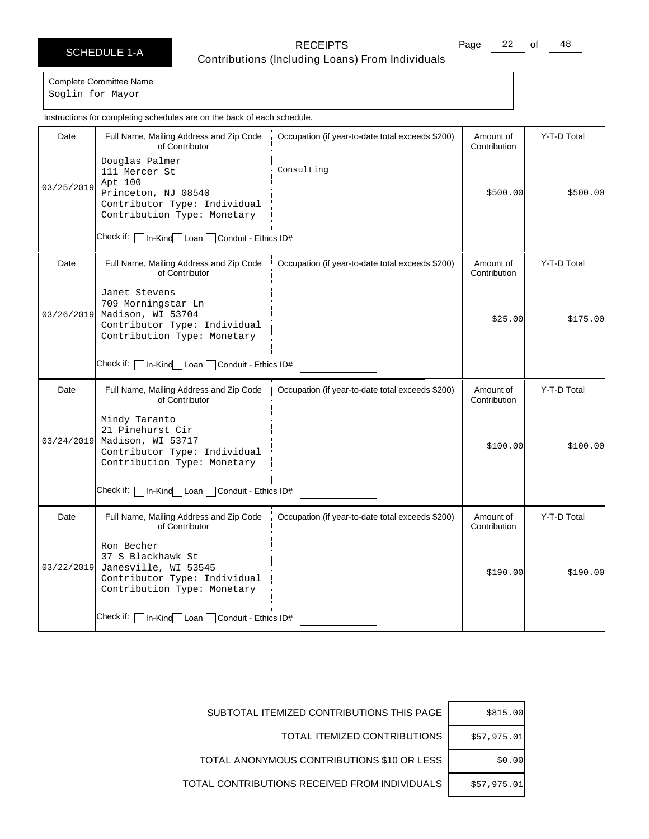Page 22 of 48

Complete Committee Name

Soglin for Mayor

Date | Full Name, Mailing Address and Zip Code of Contributor Check if: | In-Kind Loan | Conduit - Ethics ID# Occupation (if year-to-date total exceeds \$200) | Amount of **Contribution** Y-T-D Total 03/25/2019 Douglas Palmer 111 Mercer St Apt 100 Princeton, NJ 08540 Contributor Type: Individual Contribution Type: Monetary Consulting \$500.00 \$500.00 Date | Full Name, Mailing Address and Zip Code of Contributor Check if:  $\Box$  In-Kind Loan  $\Box$  Conduit - Ethics ID# Occupation (if year-to-date total exceeds \$200) | Amount of **Contribution** Y-T-D Total 03/26/2019 Janet Stevens 709 Morningstar Ln Madison, WI 53704 Contributor Type: Individual Contribution Type: Monetary \$25.00 \$175.00 Date | Full Name, Mailing Address and Zip Code of Contributor Check if: | In-Kind | Loan | Conduit - Ethics ID# Occupation (if year-to-date total exceeds \$200) | Amount of Contribution Y-T-D Total 03/24/2019 Mindy Taranto 21 Pinehurst Cir Madison, WI 53717 Contributor Type: Individual Contribution Type: Monetary \$100.00 \$100.00 Date | Full Name, Mailing Address and Zip Code of Contributor Check if: | In-Kind Loan | Conduit - Ethics ID# Occupation (if year-to-date total exceeds \$200) | Amount of **Contribution** Y-T-D Total 03/22/2019 Janesville, WI 53545 Ron Becher 37 S Blackhawk St Contributor Type: Individual Contribution Type: Monetary  $$190.00$   $$190.00$ Instructions for completing schedules are on the back of each schedule.

| \$815.00    | SUBTOTAL ITEMIZED CONTRIBUTIONS THIS PAGE     |
|-------------|-----------------------------------------------|
| \$57,975.01 | TOTAL ITEMIZED CONTRIBUTIONS                  |
| \$0.00      | TOTAL ANONYMOUS CONTRIBUTIONS \$10 OR LESS    |
| \$57,975.01 | TOTAL CONTRIBUTIONS RECEIVED FROM INDIVIDUALS |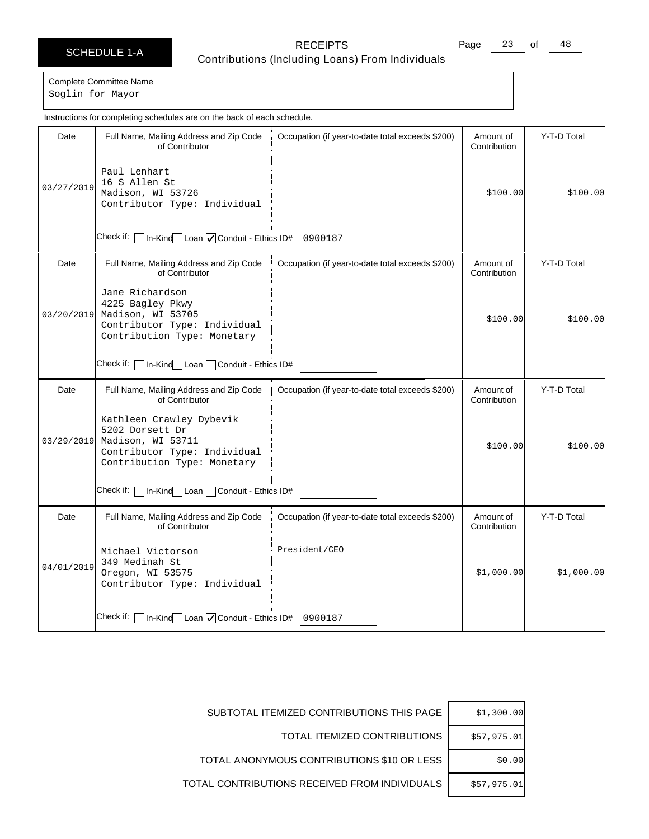Page 23 of 48

Complete Committee Name Soglin for Mayor

Date | Full Name, Mailing Address and Zip Code of Contributor Check if: | In-Kind Loan | Conduit - Ethics ID# 0900187 Occupation (if year-to-date total exceeds \$200) | Amount of **Contribution** Y-T-D Total 03/27/2019 Paul Lenhart 16 S Allen St Madison, WI 53726 Contributor Type: Individual \$100.00 \$100.00 Date | Full Name, Mailing Address and Zip Code of Contributor Check if:  $\Box$  In-Kind Loan  $\Box$  Conduit - Ethics ID# Occupation (if year-to-date total exceeds \$200) | Amount of **Contribution** Y-T-D Total 03/20/2019 Jane Richardson 4225 Bagley Pkwy Madison, WI 53705 Contributor Type: Individual Contribution Type: Monetary  $$100.00$   $$100.00$ Date | Full Name, Mailing Address and Zip Code of Contributor Check if: | In-Kind | Loan | Conduit - Ethics ID# Occupation (if year-to-date total exceeds \$200) | Amount of Contribution Y-T-D Total 03/29/2019 Kathleen Crawley Dybevik 5202 Dorsett Dr Madison, WI 53711 Contributor Type: Individual Contribution Type: Monetary \$100.00 \$100.00 Date | Full Name, Mailing Address and Zip Code of Contributor Check if: | In-Kind Loan | Conduit - Ethics ID# 0900187 Occupation (if year-to-date total exceeds \$200) | Amount of Contribution Y-T-D Total 04/01/2019 Michael Victorson 349 Medinah St Oregon, WI 53575 Contributor Type: Individual President/CEO \$1,000.00 \$1,000.00 Instructions for completing schedules are on the back of each schedule.

| \$1,300.00  | SUBTOTAL ITEMIZED CONTRIBUTIONS THIS PAGE     |
|-------------|-----------------------------------------------|
| \$57,975.01 | TOTAL ITEMIZED CONTRIBUTIONS                  |
| \$0.00      | TOTAL ANONYMOUS CONTRIBUTIONS \$10 OR LESS    |
| \$57,975.01 | TOTAL CONTRIBUTIONS RECEIVED FROM INDIVIDUALS |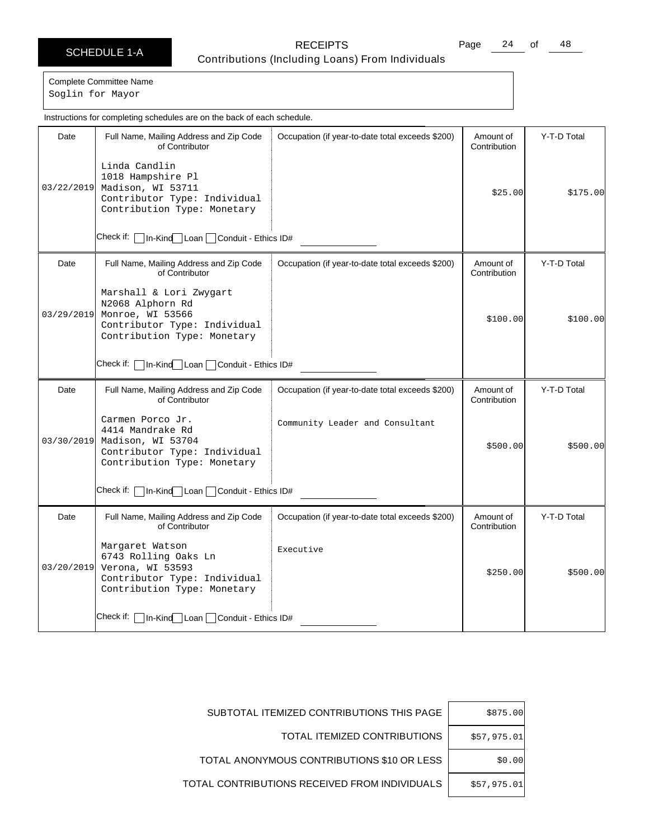# SCHEDULE 1-A RECEIPTS

Page 24 of 48

Contributions (Including Loans) From Individuals

Complete Committee Name Soglin for Mayor

Date | Full Name, Mailing Address and Zip Code of Contributor Check if: | In-Kind Loan | Conduit - Ethics ID# Occupation (if year-to-date total exceeds \$200) | Amount of **Contribution** Y-T-D Total 03/22/2019 Madison, WI 53711 Linda Candlin 1018 Hampshire Pl Contributor Type: Individual Contribution Type: Monetary \$25.00 \$175.00 Date Full Name, Mailing Address and Zip Code of Contributor Check if:  $\Box$  In-Kind Loan  $\Box$  Conduit - Ethics ID# Occupation (if year-to-date total exceeds \$200) | Amount of **Contribution** Y-T-D Total 03/29/2019 Marshall & Lori Zwygart N2068 Alphorn Rd Monroe, WI 53566 Contributor Type: Individual Contribution Type: Monetary  $$100.00$   $$100.00$ Date | Full Name, Mailing Address and Zip Code of Contributor Check if: In-Kind Loan Conduit - Ethics ID# Occupation (if year-to-date total exceeds \$200) | Amount of Contribution Y-T-D Total 03/30/2019 Carmen Porco Jr. 4414 Mandrake Rd Madison, WI 53704 Contributor Type: Individual Contribution Type: Monetary Community Leader and Consultant \$500.00 \$500.00 Date | Full Name, Mailing Address and Zip Code of Contributor Check if: | In-Kind Loan | Conduit - Ethics ID# Occupation (if year-to-date total exceeds \$200) | Amount of **Contribution** Y-T-D Total 03/20/2019 Verona, WI 53593 Margaret Watson 6743 Rolling Oaks Ln Contributor Type: Individual Contribution Type: Monetary Executive  $$250.00$   $$500.00$ Instructions for completing schedules are on the back of each schedule.

| \$875.00    | SUBTOTAL ITEMIZED CONTRIBUTIONS THIS PAGE     |
|-------------|-----------------------------------------------|
| \$57,975.01 | TOTAL ITEMIZED CONTRIBUTIONS                  |
| \$0.00      | TOTAL ANONYMOUS CONTRIBUTIONS \$10 OR LESS    |
| \$57,975.01 | TOTAL CONTRIBUTIONS RECEIVED FROM INDIVIDUALS |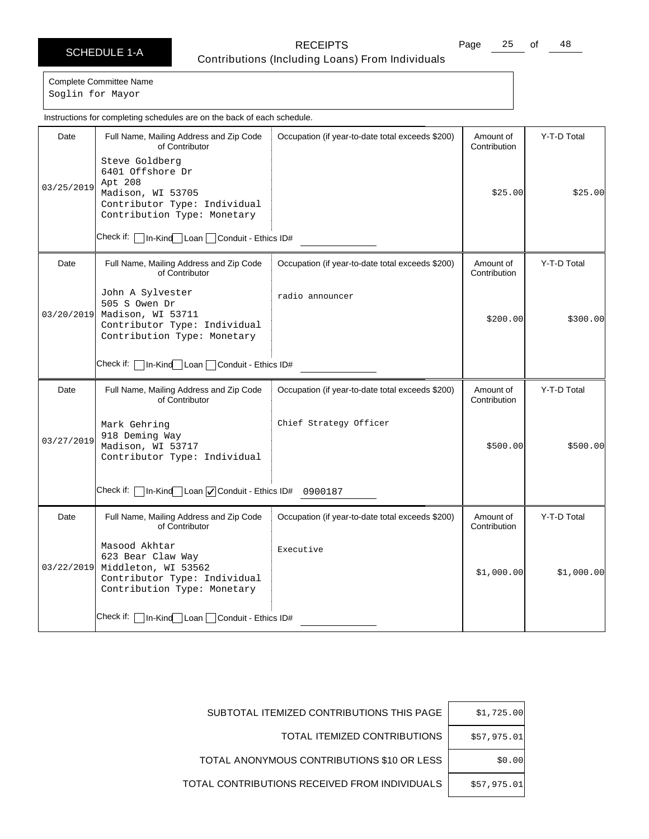Page 25 of 48

Complete Committee Name Soglin for Mayor

|            | Instructions for completing schedules are on the back of each schedule.                                                  |                                                  |                           |             |
|------------|--------------------------------------------------------------------------------------------------------------------------|--------------------------------------------------|---------------------------|-------------|
| Date       | Full Name, Mailing Address and Zip Code<br>of Contributor<br>Steve Goldberg<br>6401 Offshore Dr                          | Occupation (if year-to-date total exceeds \$200) | Amount of<br>Contribution | Y-T-D Total |
| 03/25/2019 | Apt 208<br>Madison, WI 53705<br>Contributor Type: Individual<br>Contribution Type: Monetary                              |                                                  | \$25.00                   | \$25.00     |
|            | In-Kind Loan Conduit - Ethics ID#                                                                                        |                                                  |                           |             |
| Date       | Full Name, Mailing Address and Zip Code<br>of Contributor                                                                | Occupation (if year-to-date total exceeds \$200) | Amount of<br>Contribution | Y-T-D Total |
| 03/20/2019 | John A Sylvester<br>505 S Owen Dr<br>Madison, WI 53711<br>Contributor Type: Individual<br>Contribution Type: Monetary    | radio announcer                                  | \$200.00]                 | \$300.00]   |
|            | Check if:   In-Kind   Loan   Conduit - Ethics ID#                                                                        |                                                  |                           |             |
| Date       | Full Name, Mailing Address and Zip Code<br>of Contributor                                                                | Occupation (if year-to-date total exceeds \$200) | Amount of<br>Contribution | Y-T-D Total |
| 03/27/2019 | Mark Gehring<br>918 Deming Way<br>Madison, WI 53717<br>Contributor Type: Individual                                      | Chief Strategy Officer                           | \$500.00                  | \$500.00]   |
|            | Check if: [<br>In-Kind Loan V Conduit - Ethics ID# 0900187                                                               |                                                  |                           |             |
| Date       | Full Name, Mailing Address and Zip Code<br>of Contributor                                                                | Occupation (if year-to-date total exceeds \$200) | Amount of<br>Contribution | Y-T-D Total |
| 03/22/2019 | Masood Akhtar<br>623 Bear Claw Way<br>Middleton, WI 53562<br>Contributor Type: Individual<br>Contribution Type: Monetary | Executive                                        | \$1,000.00]               | \$1,000.00] |
|            | Check if: [<br>In-Kind Loan Conduit - Ethics ID#                                                                         |                                                  |                           |             |

| \$1,725.00  | SUBTOTAL ITEMIZED CONTRIBUTIONS THIS PAGE     |
|-------------|-----------------------------------------------|
| \$57,975.01 | TOTAL ITEMIZED CONTRIBUTIONS                  |
| \$0.00      | TOTAL ANONYMOUS CONTRIBUTIONS \$10 OR LESS    |
| \$57,975.01 | TOTAL CONTRIBUTIONS RECEIVED FROM INDIVIDUALS |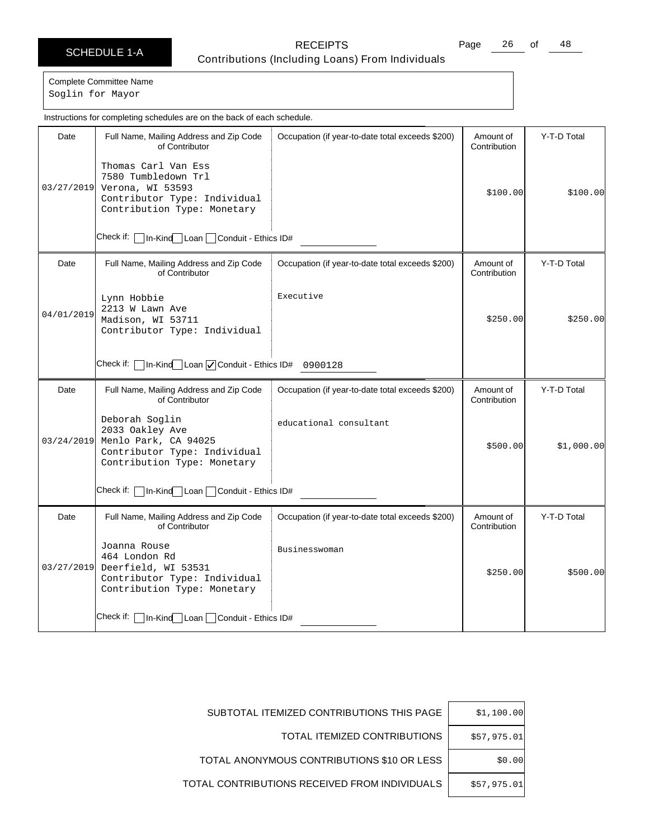Page 26 of 48

Complete Committee Name

Soglin for Mayor

|            | Instructions for completing schedules are on the back of each schedule.                                                             |                                                  |                           |             |
|------------|-------------------------------------------------------------------------------------------------------------------------------------|--------------------------------------------------|---------------------------|-------------|
| Date       | Full Name, Mailing Address and Zip Code<br>of Contributor                                                                           | Occupation (if year-to-date total exceeds \$200) | Amount of<br>Contribution | Y-T-D Total |
| 03/27/2019 | Thomas Carl Van Ess<br>7580 Tumbledown Trl<br>Verona, WI 53593<br>Contributor Type: Individual<br>Contribution Type: Monetary       |                                                  | \$100.00                  | \$100.00]   |
|            | Check if: [<br>1n-Kind Loan Conduit - Ethics ID#                                                                                    |                                                  |                           |             |
| Date       | Full Name, Mailing Address and Zip Code<br>of Contributor                                                                           | Occupation (if year-to-date total exceeds \$200) | Amount of<br>Contribution | Y-T-D Total |
| 04/01/2019 | Lynn Hobbie<br>2213 W Lawn Ave<br>Madison, WI 53711<br>Contributor Type: Individual                                                 | Executive                                        | \$250.00                  | \$250.00    |
|            | In-Kind Loan V Conduit - Ethics ID# 0900128<br>Check if:                                                                            |                                                  |                           |             |
| Date       | Full Name, Mailing Address and Zip Code<br>of Contributor                                                                           | Occupation (if year-to-date total exceeds \$200) | Amount of<br>Contribution | Y-T-D Total |
|            | Deborah Soqlin<br>2033 Oakley Ave<br>03/24/2019 Menlo Park, CA 94025<br>Contributor Type: Individual<br>Contribution Type: Monetary | educational consultant                           | \$500.00                  | \$1,000.00] |
|            | Check if:   In-Kind Loan   Conduit - Ethics ID#                                                                                     |                                                  |                           |             |
| Date       | Full Name, Mailing Address and Zip Code<br>of Contributor                                                                           | Occupation (if year-to-date total exceeds \$200) | Amount of<br>Contribution | Y-T-D Total |
| 03/27/2019 | Joanna Rouse<br>464 London Rd<br>Deerfield, WI 53531<br>Contributor Type: Individual<br>Contribution Type: Monetary                 | Businesswoman                                    | \$250.00                  | \$500.00    |
|            | Check if:   In-Kind Loan   Conduit - Ethics ID#                                                                                     |                                                  |                           |             |

| \$1,100.00  | SUBTOTAL ITEMIZED CONTRIBUTIONS THIS PAGE     |
|-------------|-----------------------------------------------|
| \$57,975.01 | TOTAL ITEMIZED CONTRIBUTIONS                  |
| \$0.00      | TOTAL ANONYMOUS CONTRIBUTIONS \$10 OR LESS    |
| \$57,975.01 | TOTAL CONTRIBUTIONS RECEIVED FROM INDIVIDUALS |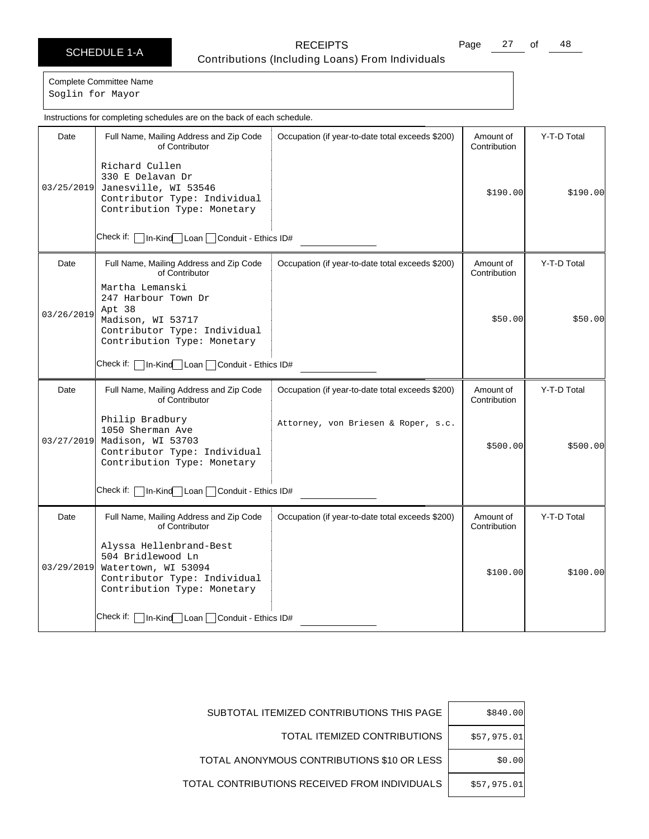Page 27 of 48

Complete Committee Name Soglin for Mayor

| Instructions for completing schedules are on the back of each schedule. |                                                                                                                                    |                                                  |                           |             |
|-------------------------------------------------------------------------|------------------------------------------------------------------------------------------------------------------------------------|--------------------------------------------------|---------------------------|-------------|
| Date                                                                    | Full Name, Mailing Address and Zip Code<br>of Contributor<br>Richard Cullen                                                        | Occupation (if year-to-date total exceeds \$200) | Amount of<br>Contribution | Y-T-D Total |
| 03/25/2019                                                              | 330 E Delavan Dr<br>Janesville, WI 53546<br>Contributor Type: Individual<br>Contribution Type: Monetary                            |                                                  | \$190.00                  | \$190.00    |
|                                                                         | Check if:<br>1n-Kind Loan Conduit - Ethics ID#                                                                                     |                                                  |                           |             |
| Date                                                                    | Full Name, Mailing Address and Zip Code<br>of Contributor<br>Martha Lemanski                                                       | Occupation (if year-to-date total exceeds \$200) | Amount of<br>Contribution | Y-T-D Total |
| 03/26/2019                                                              | 247 Harbour Town Dr<br>Apt 38<br>Madison, WI 53717<br>Contributor Type: Individual<br>Contribution Type: Monetary                  |                                                  | \$50.00                   | \$50.00     |
|                                                                         | Check if: l<br>In-Kind Loan Conduit - Ethics ID#                                                                                   |                                                  |                           |             |
| Date                                                                    | Full Name, Mailing Address and Zip Code<br>of Contributor                                                                          | Occupation (if year-to-date total exceeds \$200) | Amount of<br>Contribution | Y-T-D Total |
| 03/27/2019                                                              | Philip Bradbury<br>1050 Sherman Ave<br>Madison, WI 53703<br>Contributor Type: Individual<br>Contribution Type: Monetary            | Attorney, von Briesen & Roper, s.c.              | \$500.00]                 | \$500.00]   |
|                                                                         | Check if: [<br>In-Kind Loan Conduit - Ethics ID#                                                                                   |                                                  |                           |             |
| Date                                                                    | Full Name, Mailing Address and Zip Code<br>of Contributor                                                                          | Occupation (if year-to-date total exceeds \$200) | Amount of<br>Contribution | Y-T-D Total |
| 03/29/2019                                                              | Alyssa Hellenbrand-Best<br>504 Bridlewood Ln<br>Watertown, WI 53094<br>Contributor Type: Individual<br>Contribution Type: Monetary |                                                  | \$100.00]                 | \$100.00]   |
|                                                                         | Check if:   In-Kind   Loan   Conduit - Ethics ID#                                                                                  |                                                  |                           |             |

| \$840.00    | SUBTOTAL ITEMIZED CONTRIBUTIONS THIS PAGE     |
|-------------|-----------------------------------------------|
| \$57,975.01 | TOTAL ITEMIZED CONTRIBUTIONS                  |
| \$0.00      | TOTAL ANONYMOUS CONTRIBUTIONS \$10 OR LESS    |
| \$57,975.01 | TOTAL CONTRIBUTIONS RECEIVED FROM INDIVIDUALS |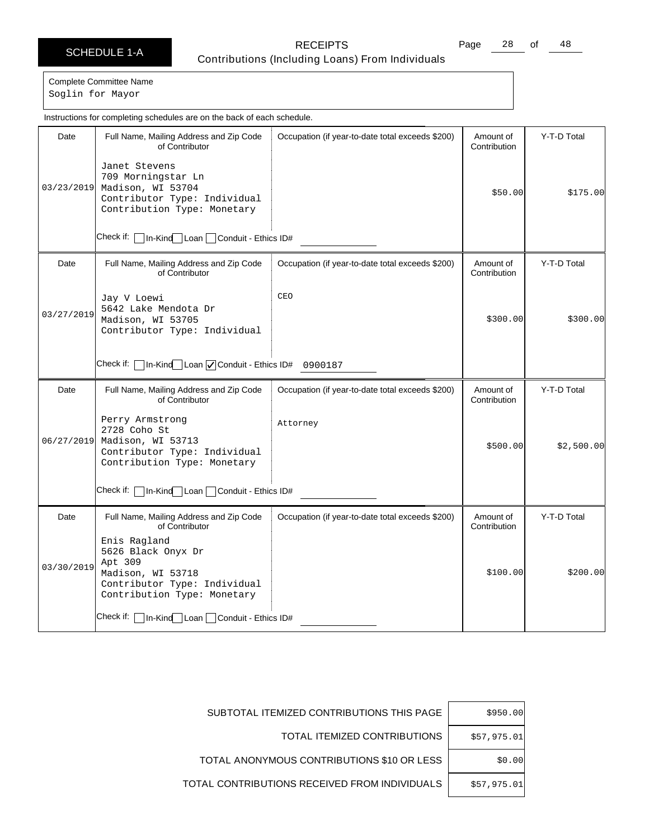Page 28 of 48

Complete Committee Name

Soglin for Mayor

|            | Instructions for completing schedules are on the back of each schedule.                                                           |                                                  |                           |             |  |
|------------|-----------------------------------------------------------------------------------------------------------------------------------|--------------------------------------------------|---------------------------|-------------|--|
| Date       | Full Name, Mailing Address and Zip Code<br>of Contributor                                                                         | Occupation (if year-to-date total exceeds \$200) | Amount of<br>Contribution | Y-T-D Total |  |
| 03/23/2019 | Janet Stevens<br>709 Morningstar Ln<br>Madison, WI 53704<br>Contributor Type: Individual<br>Contribution Type: Monetary           |                                                  | \$50.00                   | \$175.00    |  |
|            | Check if:   In-Kind Loan   Conduit - Ethics ID#                                                                                   |                                                  |                           |             |  |
| Date       | Full Name, Mailing Address and Zip Code<br>of Contributor                                                                         | Occupation (if year-to-date total exceeds \$200) | Amount of<br>Contribution | Y-T-D Total |  |
| 03/27/2019 | Jay V Loewi<br>5642 Lake Mendota Dr<br>Madison, WI 53705<br>Contributor Type: Individual                                          | CEO                                              | \$300.00                  | \$300.00]   |  |
|            | Check if: $\Box$ In-Kind $\Box$ Loan $\Box$ Conduit - Ethics ID# 0900187                                                          |                                                  |                           |             |  |
| Date       | Full Name, Mailing Address and Zip Code<br>of Contributor                                                                         | Occupation (if year-to-date total exceeds \$200) | Amount of<br>Contribution | Y-T-D Total |  |
| 06/27/2019 | Perry Armstrong<br>2728 Coho St<br>Madison, WI 53713<br>Contributor Type: Individual<br>Contribution Type: Monetary               | Attorney                                         | \$500.00                  | \$2,500.00] |  |
|            | Check if:   In-Kind Loan   Conduit - Ethics ID#                                                                                   |                                                  |                           |             |  |
| Date       | Full Name, Mailing Address and Zip Code<br>of Contributor                                                                         | Occupation (if year-to-date total exceeds \$200) | Amount of<br>Contribution | Y-T-D Total |  |
| 03/30/2019 | Enis Ragland<br>5626 Black Onyx Dr<br>Apt 309<br>Madison, WI 53718<br>Contributor Type: Individual<br>Contribution Type: Monetary |                                                  | \$100.00]                 | \$200.00]   |  |
|            | Check if:   In-Kind   Loan   Conduit - Ethics ID#                                                                                 |                                                  |                           |             |  |

| \$950.00    | SUBTOTAL ITEMIZED CONTRIBUTIONS THIS PAGE     |
|-------------|-----------------------------------------------|
| \$57,975.01 | TOTAL ITEMIZED CONTRIBUTIONS                  |
| \$0.00      | TOTAL ANONYMOUS CONTRIBUTIONS \$10 OR LESS    |
| \$57,975.01 | TOTAL CONTRIBUTIONS RECEIVED FROM INDIVIDUALS |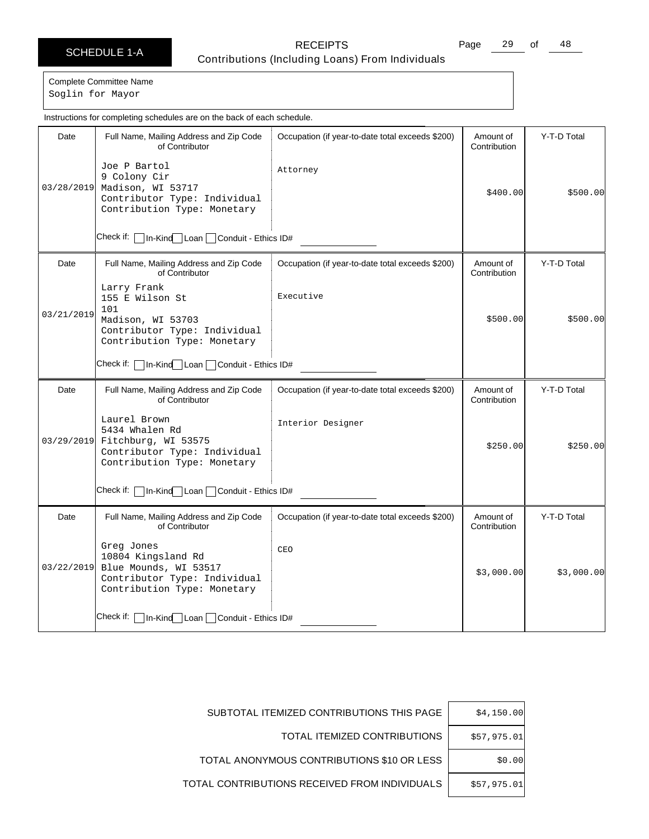Page 29 of 48

Complete Committee Name

Soglin for Mayor

|                                                   | Instructions for completing schedules are on the back of each schedule.                                                         |                                                  |                           |             |
|---------------------------------------------------|---------------------------------------------------------------------------------------------------------------------------------|--------------------------------------------------|---------------------------|-------------|
| Date                                              | Full Name, Mailing Address and Zip Code<br>of Contributor                                                                       | Occupation (if year-to-date total exceeds \$200) | Amount of<br>Contribution | Y-T-D Total |
| 03/28/2019                                        | Joe P Bartol<br>9 Colony Cir<br>Madison, WI 53717<br>Contributor Type: Individual<br>Contribution Type: Monetary                | Attorney                                         | \$400.00                  | \$500.00]   |
|                                                   | Check if:   In-Kind Loan   Conduit - Ethics ID#                                                                                 |                                                  |                           |             |
| Date                                              | Full Name, Mailing Address and Zip Code<br>of Contributor                                                                       | Occupation (if year-to-date total exceeds \$200) | Amount of<br>Contribution | Y-T-D Total |
| 03/21/2019                                        | Larry Frank<br>155 E Wilson St<br>101<br>Madison, WI 53703<br>Contributor Type: Individual<br>Contribution Type: Monetary       | Executive                                        | \$500.00                  | \$500.00]   |
| Check if:   In-Kind Loan   Conduit - Ethics ID#   |                                                                                                                                 |                                                  |                           |             |
| Date                                              | Full Name, Mailing Address and Zip Code<br>of Contributor                                                                       | Occupation (if year-to-date total exceeds \$200) | Amount of<br>Contribution | Y-T-D Total |
|                                                   | Laurel Brown<br>5434 Whalen Rd<br>03/29/2019 Fitchburg, WI 53575<br>Contributor Type: Individual<br>Contribution Type: Monetary | Interior Designer                                | \$250.00                  | \$250.00    |
| Check if:   In-Kind   Loan   Conduit - Ethics ID# |                                                                                                                                 |                                                  |                           |             |
| Date                                              | Full Name, Mailing Address and Zip Code<br>of Contributor                                                                       | Occupation (if year-to-date total exceeds \$200) | Amount of<br>Contribution | Y-T-D Total |
| 03/22/2019                                        | Greg Jones<br>10804 Kingsland Rd<br>Blue Mounds, WI 53517<br>Contributor Type: Individual<br>Contribution Type: Monetary        | CEO                                              | \$3,000.00                | \$3,000.00  |
|                                                   | Check if:   In-Kind Loan   Conduit - Ethics ID#                                                                                 |                                                  |                           |             |

| \$4,150.00  | SUBTOTAL ITEMIZED CONTRIBUTIONS THIS PAGE     |
|-------------|-----------------------------------------------|
| \$57,975.01 | TOTAL ITEMIZED CONTRIBUTIONS                  |
| \$0.00      | TOTAL ANONYMOUS CONTRIBUTIONS \$10 OR LESS    |
| \$57,975.01 | TOTAL CONTRIBUTIONS RECEIVED FROM INDIVIDUALS |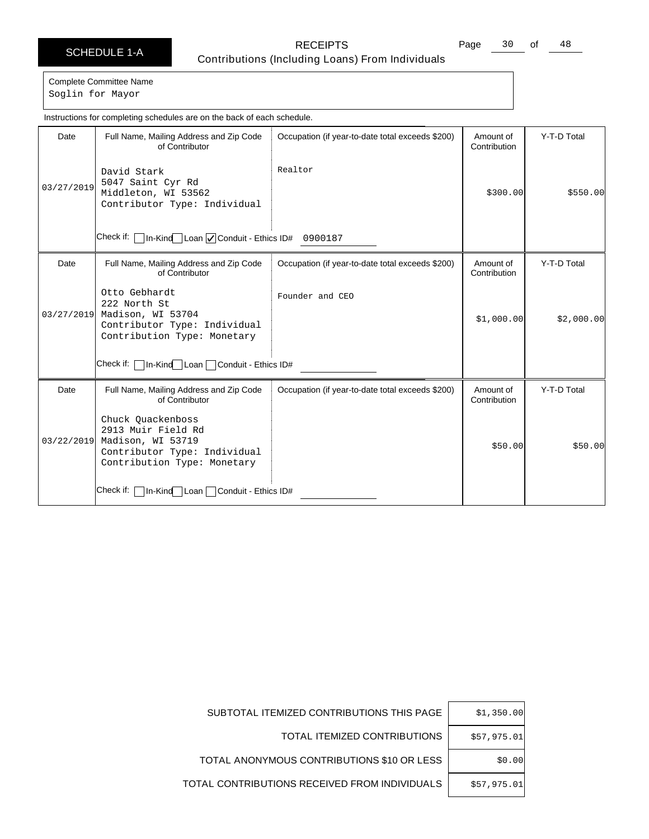Page 30 of 48

Complete Committee Name Soglin for Mayor

Date | Full Name, Mailing Address and Zip Code of Contributor Check if: | In-Kind Loan | Conduit - Ethics ID# 0900187 Occupation (if year-to-date total exceeds \$200) | Amount of Contribution Y-T-D Total 03/27/2019 David Stark 5047 Saint Cyr Rd Middleton, WI 53562 Contributor Type: Individual Realtor \$300.00 \$550.00 Date | Full Name, Mailing Address and Zip Code of Contributor Check if:  $\Box$  In-Kind Loan  $\Box$  Conduit - Ethics ID# Occupation (if year-to-date total exceeds \$200) | Amount of Contribution Y-T-D Total 03/27/2019 Otto Gebhardt 222 North St Madison, WI 53704 Contributor Type: Individual Contribution Type: Monetary Founder and CEO  $$1,000.00$   $$2,000.00$ Date | Full Name, Mailing Address and Zip Code of Contributor Check if: | In-Kind | Loan | Conduit - Ethics ID# Occupation (if year-to-date total exceeds \$200) | Amount of Contribution Y-T-D Total 03/22/2019 Chuck Quackenboss 2913 Muir Field Rd Madison, WI 53719 Contributor Type: Individual Contribution Type: Monetary \$50.00 \$50.00 Instructions for completing schedules are on the back of each schedule.

| SUBTOTAL ITEMIZED CONTRIBUTIONS THIS PAGE     | \$1,350.00  |
|-----------------------------------------------|-------------|
| TOTAL ITEMIZED CONTRIBUTIONS                  | \$57.975.01 |
| TOTAL ANONYMOUS CONTRIBUTIONS \$10 OR LESS    | \$0.00      |
| TOTAL CONTRIBUTIONS RECEIVED FROM INDIVIDUALS | \$57.975.01 |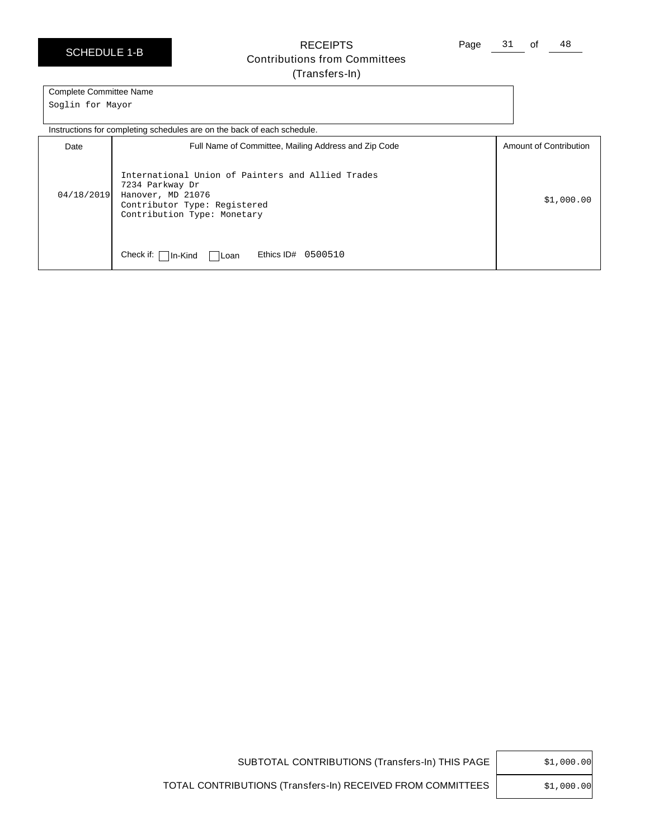SCHEDULE 1-B

RECEIPTS Contributions from Committees (Transfers-In)

Page 31 of 48

### Complete Committee Name

Soglin for Mayor

Instructions for completing schedules are on the back of each schedule.

| Date       | Full Name of Committee, Mailing Address and Zip Code                                                                                                     | Amount of Contribution |
|------------|----------------------------------------------------------------------------------------------------------------------------------------------------------|------------------------|
| 04/18/2019 | International Union of Painters and Allied Trades<br>7234 Parkway Dr<br>Hanover, MD 21076<br>Contributor Type: Registered<br>Contribution Type: Monetary | \$1,000.00             |
|            | Ethics ID#<br>Check if: [<br>0500510<br>$\ln$ -Kind<br>l Loan                                                                                            |                        |

|  | \$1,000.00 |  |
|--|------------|--|
|--|------------|--|

SUBTOTAL CONTRIBUTIONS (Transfers-In) THIS PAGE

\$1,000.00

TOTAL CONTRIBUTIONS (Transfers-In) RECEIVED FROM COMMITTEES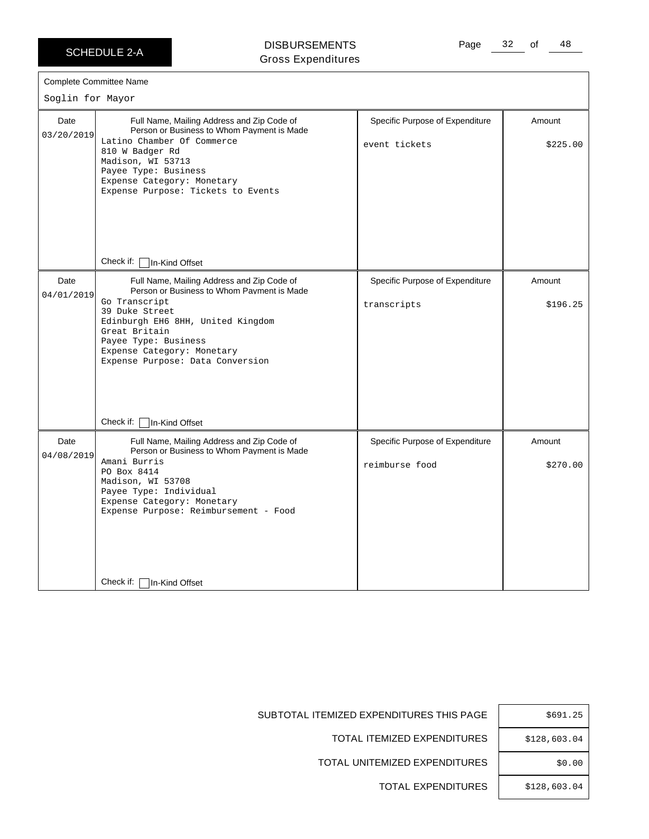### DISBURSEMENTS Gross Expenditures

|                    | <b>Complete Committee Name</b>                                                                                                                                                                                                                                              |                                                   |                    |
|--------------------|-----------------------------------------------------------------------------------------------------------------------------------------------------------------------------------------------------------------------------------------------------------------------------|---------------------------------------------------|--------------------|
| Soglin for Mayor   |                                                                                                                                                                                                                                                                             |                                                   |                    |
| Date<br>03/20/2019 | Full Name, Mailing Address and Zip Code of<br>Person or Business to Whom Payment is Made<br>Latino Chamber Of Commerce<br>810 W Badger Rd<br>Madison, WI 53713<br>Payee Type: Business<br>Expense Category: Monetary<br>Expense Purpose: Tickets to Events                  | Specific Purpose of Expenditure<br>event tickets  | Amount<br>\$225.00 |
|                    | Check if:<br>In-Kind Offset                                                                                                                                                                                                                                                 |                                                   |                    |
| Date<br>04/01/2019 | Full Name, Mailing Address and Zip Code of<br>Person or Business to Whom Payment is Made<br>Go Transcript<br>39 Duke Street<br>Edinburgh EH6 8HH, United Kingdom<br>Great Britain<br>Payee Type: Business<br>Expense Category: Monetary<br>Expense Purpose: Data Conversion | Specific Purpose of Expenditure<br>transcripts    | Amount<br>\$196.25 |
|                    | Check if: $\lceil$<br>In-Kind Offset                                                                                                                                                                                                                                        |                                                   |                    |
| Date<br>04/08/2019 | Full Name, Mailing Address and Zip Code of<br>Person or Business to Whom Payment is Made<br>Amani Burris<br>PO Box 8414<br>Madison, WI 53708<br>Payee Type: Individual<br>Expense Category: Monetary<br>Expense Purpose: Reimbursement - Food                               | Specific Purpose of Expenditure<br>reimburse food | Amount<br>\$270.00 |
|                    | Check if:<br>In-Kind Offset                                                                                                                                                                                                                                                 |                                                   |                    |

| \$691.25     |
|--------------|
| \$128,603.04 |
| \$0.00       |
| \$128,603.04 |

SUBTOTAL ITEMIZED EXPENDITURES THIS PAGE

TOTAL ITEMIZED EXPENDITURES

TOTAL UNITEMIZED EXPENDITURES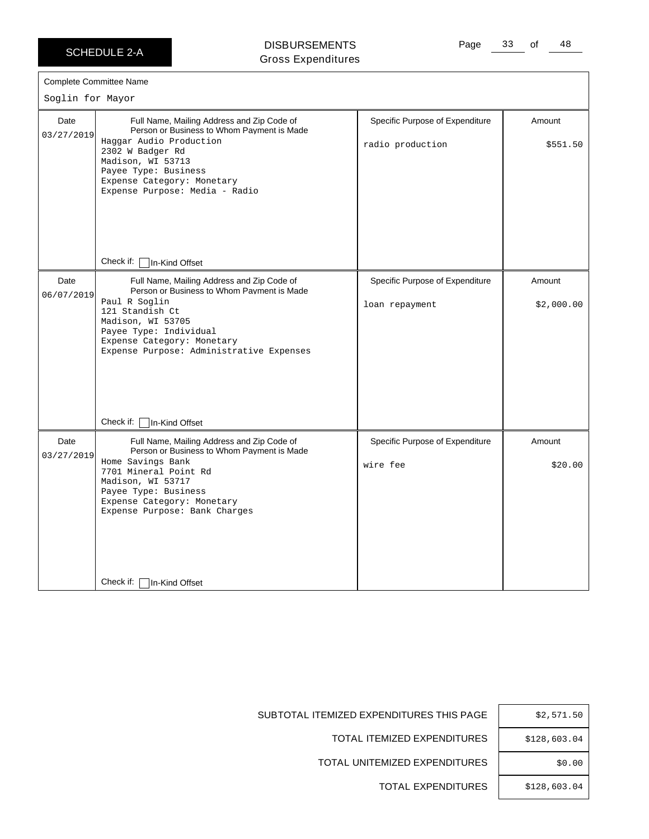### DISBURSEMENTS Gross Expenditures

| Soglin for Mayor   | <b>Complete Committee Name</b>                                                                                                                                                                                                                        |                                                     |                      |
|--------------------|-------------------------------------------------------------------------------------------------------------------------------------------------------------------------------------------------------------------------------------------------------|-----------------------------------------------------|----------------------|
| Date<br>03/27/2019 | Full Name, Mailing Address and Zip Code of<br>Person or Business to Whom Payment is Made<br>Haggar Audio Production<br>2302 W Badger Rd<br>Madison, WI 53713<br>Payee Type: Business<br>Expense Category: Monetary<br>Expense Purpose: Media - Radio  | Specific Purpose of Expenditure<br>radio production | Amount<br>\$551.50   |
|                    | Check if: □ In-Kind Offset                                                                                                                                                                                                                            |                                                     |                      |
| Date<br>06/07/2019 | Full Name, Mailing Address and Zip Code of<br>Person or Business to Whom Payment is Made<br>Paul R Soglin<br>121 Standish Ct<br>Madison, WI 53705<br>Payee Type: Individual<br>Expense Category: Monetary<br>Expense Purpose: Administrative Expenses | Specific Purpose of Expenditure<br>loan repayment   | Amount<br>\$2,000.00 |
|                    | Check if:<br>In-Kind Offset                                                                                                                                                                                                                           |                                                     |                      |
| Date<br>03/27/2019 | Full Name, Mailing Address and Zip Code of<br>Person or Business to Whom Payment is Made<br>Home Savings Bank<br>7701 Mineral Point Rd<br>Madison, WI 53717<br>Payee Type: Business<br>Expense Category: Monetary<br>Expense Purpose: Bank Charges    | Specific Purpose of Expenditure<br>wire fee         | Amount<br>\$20.00    |
|                    | Check if: [<br>In-Kind Offset                                                                                                                                                                                                                         |                                                     |                      |

| \$2,571.50   |
|--------------|
| \$128,603.04 |
| \$0.00       |
| \$128,603.04 |

SUBTOTAL ITEMIZED EXPENDITURES THIS PAGE

TOTAL ITEMIZED EXPENDITURES

TOTAL UNITEMIZED EXPENDITURES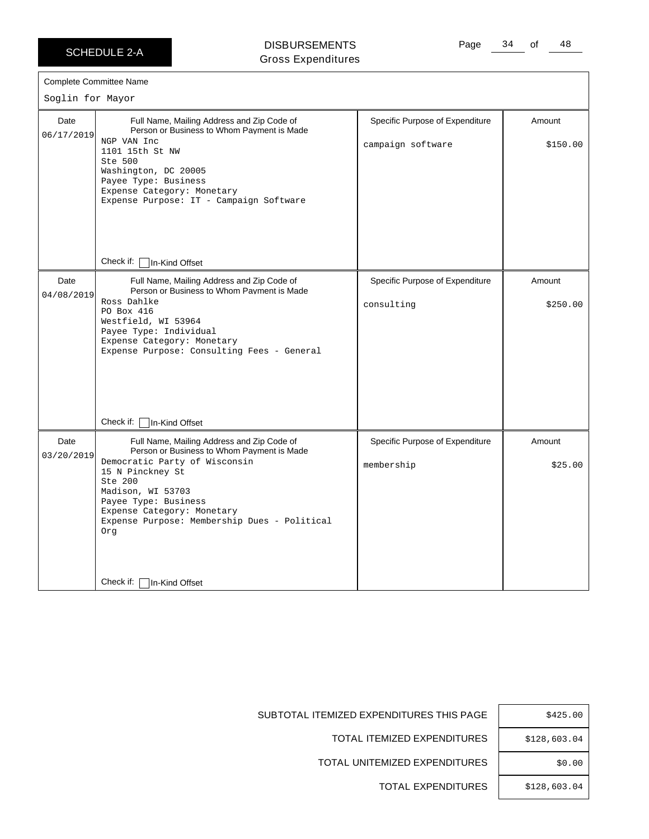### DISBURSEMENTS Gross Expenditures

Page 34 of 48

| Soglin for Mayor   | Complete Committee Name                                                                                                                                                                                                                                                                    |                                                      |                    |
|--------------------|--------------------------------------------------------------------------------------------------------------------------------------------------------------------------------------------------------------------------------------------------------------------------------------------|------------------------------------------------------|--------------------|
| Date<br>06/17/2019 | Full Name, Mailing Address and Zip Code of<br>Person or Business to Whom Payment is Made<br>NGP VAN Inc<br>1101 15th St NW<br>Ste 500<br>Washington, DC 20005<br>Payee Type: Business<br>Expense Category: Monetary<br>Expense Purpose: IT - Campaign Software                             | Specific Purpose of Expenditure<br>campaign software | Amount<br>\$150.00 |
|                    | Check if: $\Box$ In-Kind Offset                                                                                                                                                                                                                                                            |                                                      |                    |
| Date<br>04/08/2019 | Full Name, Mailing Address and Zip Code of<br>Person or Business to Whom Payment is Made<br>Ross Dahlke<br>PO Box 416<br>Westfield, WI 53964<br>Payee Type: Individual<br>Expense Category: Monetary<br>Expense Purpose: Consulting Fees - General                                         | Specific Purpose of Expenditure<br>consulting        | Amount<br>\$250.00 |
|                    | Check if:<br>In-Kind Offset                                                                                                                                                                                                                                                                |                                                      |                    |
| Date<br>03/20/2019 | Full Name, Mailing Address and Zip Code of<br>Person or Business to Whom Payment is Made<br>Democratic Party of Wisconsin<br>15 N Pinckney St<br>Ste 200<br>Madison, WI 53703<br>Payee Type: Business<br>Expense Category: Monetary<br>Expense Purpose: Membership Dues - Political<br>Org | Specific Purpose of Expenditure<br>membership        | Amount<br>\$25.00  |
|                    | Check if:<br>In-Kind Offset                                                                                                                                                                                                                                                                |                                                      |                    |

| \$425.00     |
|--------------|
| \$128,603.04 |
| \$0.00       |
| \$128,603.04 |

SUBTOTAL ITEMIZED EXPENDITURES THIS PAGE

TOTAL ITEMIZED EXPENDITURES

TOTAL UNITEMIZED EXPENDITURES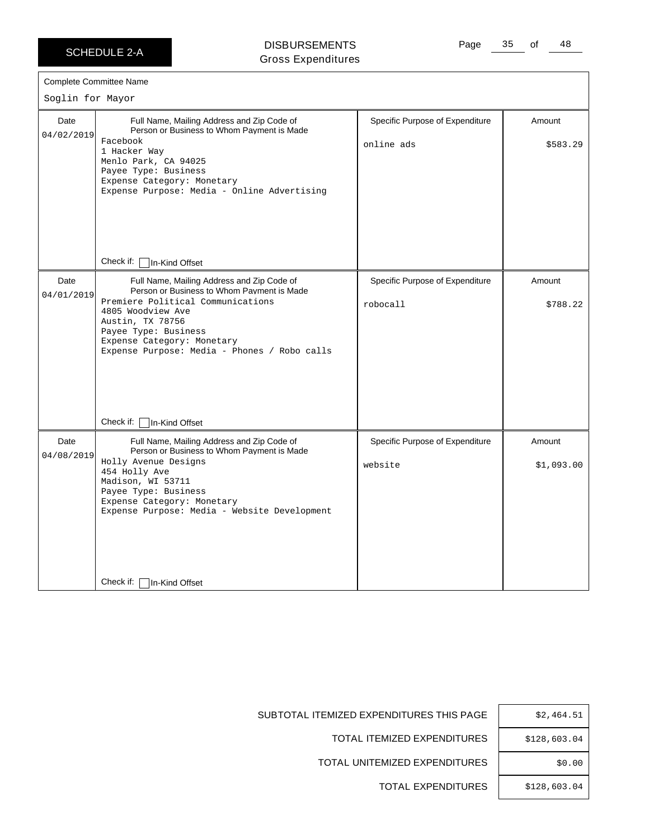$\Gamma$ 

DISBURSEMENTS Gross Expenditures Page 35 of 48

| Soglin for Mayor   | <b>Complete Committee Name</b>                                                                                                                                                                                                                                               |                                               |                      |
|--------------------|------------------------------------------------------------------------------------------------------------------------------------------------------------------------------------------------------------------------------------------------------------------------------|-----------------------------------------------|----------------------|
| Date<br>04/02/2019 | Full Name, Mailing Address and Zip Code of<br>Person or Business to Whom Payment is Made<br>Facebook<br>1 Hacker Way<br>Menlo Park, CA 94025<br>Payee Type: Business<br>Expense Category: Monetary<br>Expense Purpose: Media - Online Advertising                            | Specific Purpose of Expenditure<br>online ads | Amount<br>\$583.29   |
|                    | Check if: $\lceil$<br>In-Kind Offset                                                                                                                                                                                                                                         |                                               |                      |
| Date<br>04/01/2019 | Full Name, Mailing Address and Zip Code of<br>Person or Business to Whom Payment is Made<br>Premiere Political Communications<br>4805 Woodview Ave<br>Austin, TX 78756<br>Payee Type: Business<br>Expense Category: Monetary<br>Expense Purpose: Media - Phones / Robo calls | Specific Purpose of Expenditure<br>robocall   | Amount<br>\$788.22   |
|                    | Check if:<br>In-Kind Offset                                                                                                                                                                                                                                                  |                                               |                      |
| Date<br>04/08/2019 | Full Name, Mailing Address and Zip Code of<br>Person or Business to Whom Payment is Made<br>Holly Avenue Designs<br>454 Holly Ave<br>Madison, WI 53711<br>Payee Type: Business<br>Expense Category: Monetary<br>Expense Purpose: Media - Website Development                 | Specific Purpose of Expenditure<br>website    | Amount<br>\$1,093.00 |
|                    | Check if:<br>In-Kind Offset                                                                                                                                                                                                                                                  |                                               |                      |

| \$2,464.51   |
|--------------|
| \$128,603.04 |
| \$0.00       |
| \$128,603.04 |

SUBTOTAL ITEMIZED EXPENDITURES THIS PAGE

TOTAL ITEMIZED EXPENDITURES

TOTAL UNITEMIZED EXPENDITURES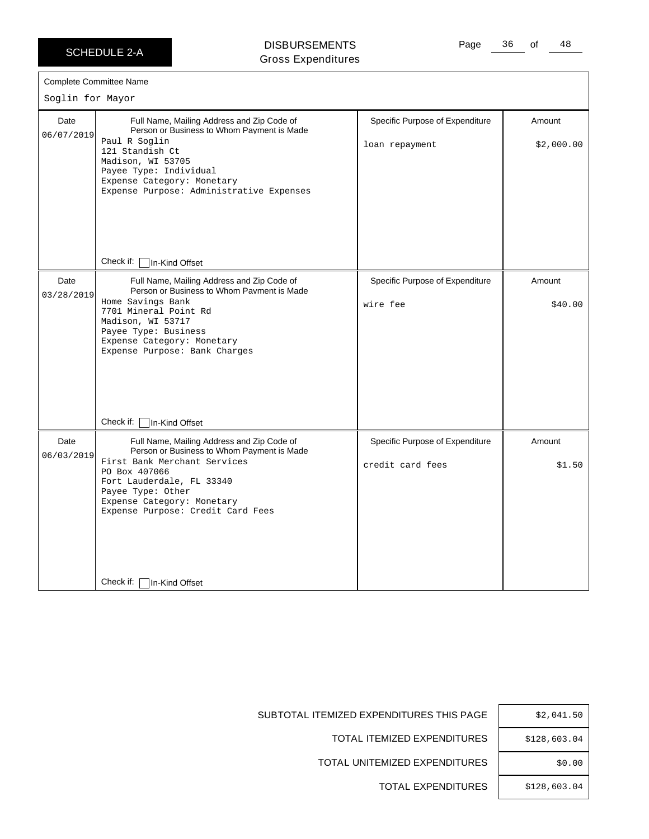$\Gamma$ 

### DISBURSEMENTS Gross Expenditures

Page 36 of 48

|                    | <b>Complete Committee Name</b>                                                                                                                                                                                                                                 |                                                     |                      |
|--------------------|----------------------------------------------------------------------------------------------------------------------------------------------------------------------------------------------------------------------------------------------------------------|-----------------------------------------------------|----------------------|
| Soglin for Mayor   |                                                                                                                                                                                                                                                                |                                                     |                      |
| Date<br>06/07/2019 | Full Name, Mailing Address and Zip Code of<br>Person or Business to Whom Payment is Made<br>Paul R Soglin<br>121 Standish Ct<br>Madison, WI 53705<br>Payee Type: Individual<br>Expense Category: Monetary<br>Expense Purpose: Administrative Expenses          | Specific Purpose of Expenditure<br>loan repayment   | Amount<br>\$2,000.00 |
|                    | Check if:   In-Kind Offset                                                                                                                                                                                                                                     |                                                     |                      |
| Date<br>03/28/2019 | Full Name, Mailing Address and Zip Code of<br>Person or Business to Whom Payment is Made<br>Home Savings Bank<br>7701 Mineral Point Rd<br>Madison, WI 53717<br>Payee Type: Business<br>Expense Category: Monetary<br>Expense Purpose: Bank Charges             | Specific Purpose of Expenditure<br>wire fee         | Amount<br>\$40.00    |
|                    | Check if:<br>In-Kind Offset                                                                                                                                                                                                                                    |                                                     |                      |
| Date<br>06/03/2019 | Full Name, Mailing Address and Zip Code of<br>Person or Business to Whom Payment is Made<br>First Bank Merchant Services<br>PO Box 407066<br>Fort Lauderdale, FL 33340<br>Payee Type: Other<br>Expense Category: Monetary<br>Expense Purpose: Credit Card Fees | Specific Purpose of Expenditure<br>credit card fees | Amount<br>\$1.50     |
|                    | Check if:<br>In-Kind Offset                                                                                                                                                                                                                                    |                                                     |                      |

| \$2,041.50   |
|--------------|
| \$128,603.04 |
| \$0.00       |
| \$128,603.04 |

SUBTOTAL ITEMIZED EXPENDITURES THIS PAGE

TOTAL ITEMIZED EXPENDITURES

TOTAL UNITEMIZED EXPENDITURES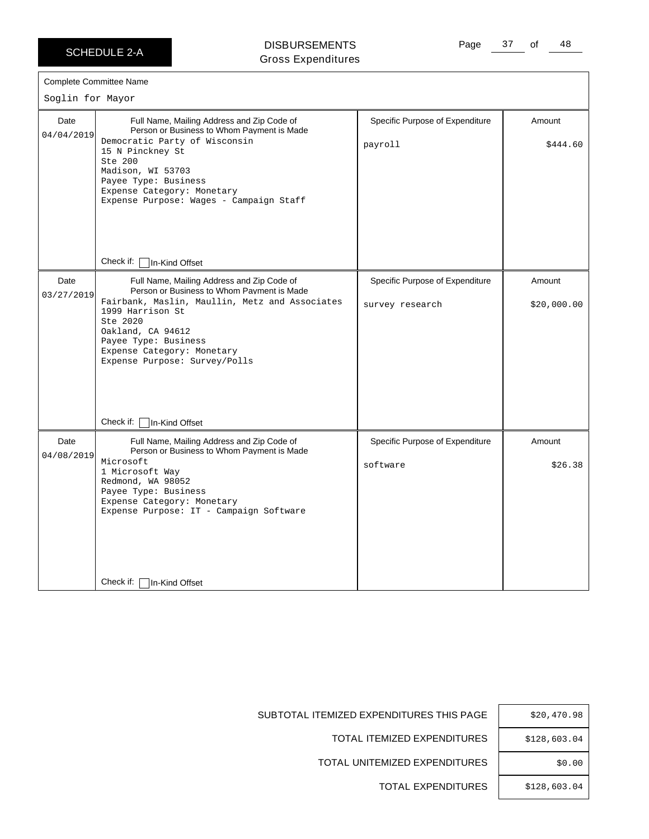$\Gamma$ 

DISBURSEMENTS Gross Expenditures Page 37 of 48

| Complete Committee Name |                                                                                                                                                                                                                                                                                        |                                                    |                       |
|-------------------------|----------------------------------------------------------------------------------------------------------------------------------------------------------------------------------------------------------------------------------------------------------------------------------------|----------------------------------------------------|-----------------------|
| Soglin for Mayor        |                                                                                                                                                                                                                                                                                        |                                                    |                       |
| Date<br>04/04/2019      | Full Name, Mailing Address and Zip Code of<br>Person or Business to Whom Payment is Made<br>Democratic Party of Wisconsin<br>15 N Pinckney St<br>Ste 200<br>Madison, WI 53703<br>Payee Type: Business<br>Expense Category: Monetary<br>Expense Purpose: Wages - Campaign Staff         | Specific Purpose of Expenditure<br>payroll         | Amount<br>\$444.60    |
|                         | Check if:<br>In-Kind Offset                                                                                                                                                                                                                                                            |                                                    |                       |
| Date<br>03/27/2019      | Full Name, Mailing Address and Zip Code of<br>Person or Business to Whom Payment is Made<br>Fairbank, Maslin, Maullin, Metz and Associates<br>1999 Harrison St<br>Ste 2020<br>Oakland, CA 94612<br>Payee Type: Business<br>Expense Category: Monetary<br>Expense Purpose: Survey/Polls | Specific Purpose of Expenditure<br>survey research | Amount<br>\$20,000.00 |
|                         | Check if:<br>In-Kind Offset                                                                                                                                                                                                                                                            |                                                    |                       |
| Date<br>04/08/2019      | Full Name, Mailing Address and Zip Code of<br>Person or Business to Whom Payment is Made<br>Microsoft<br>1 Microsoft Way<br>Redmond, WA 98052<br>Payee Type: Business<br>Expense Category: Monetary<br>Expense Purpose: IT - Campaign Software                                         | Specific Purpose of Expenditure<br>software        | Amount<br>\$26.38     |
|                         | Check if:<br>In-Kind Offset                                                                                                                                                                                                                                                            |                                                    |                       |

|   | \$20,470.98  |
|---|--------------|
| ; | \$128,603.04 |
| ; | \$0.00       |
| ; | \$128,603.04 |

SUBTOTAL ITEMIZED EXPENDITURES THIS PAGE

TOTAL ITEMIZED EXPENDITURES

TOTAL UNITEMIZED EXPENDITURES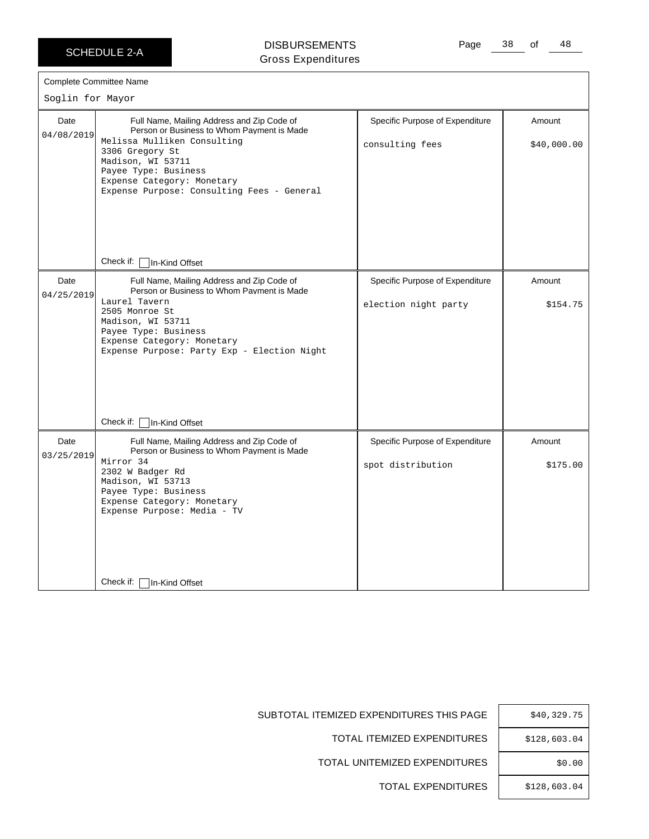### DISBURSEMENTS Gross Expenditures

Page 38 of 48

| Soglin for Mayor   | <b>Complete Committee Name</b>                                                                                                                                                                                                                                      |                                                         |                       |
|--------------------|---------------------------------------------------------------------------------------------------------------------------------------------------------------------------------------------------------------------------------------------------------------------|---------------------------------------------------------|-----------------------|
| Date<br>04/08/2019 | Full Name, Mailing Address and Zip Code of<br>Person or Business to Whom Payment is Made<br>Melissa Mulliken Consulting<br>3306 Gregory St<br>Madison, WI 53711<br>Payee Type: Business<br>Expense Category: Monetary<br>Expense Purpose: Consulting Fees - General | Specific Purpose of Expenditure<br>consulting fees      | Amount<br>\$40,000.00 |
|                    | Check if:   In-Kind Offset                                                                                                                                                                                                                                          |                                                         |                       |
| Date<br>04/25/2019 | Full Name, Mailing Address and Zip Code of<br>Person or Business to Whom Payment is Made<br>Laurel Tavern<br>2505 Monroe St<br>Madison, WI 53711<br>Payee Type: Business<br>Expense Category: Monetary<br>Expense Purpose: Party Exp - Election Night               | Specific Purpose of Expenditure<br>election night party | Amount<br>\$154.75    |
|                    | Check if: [<br>In-Kind Offset                                                                                                                                                                                                                                       |                                                         |                       |
| Date<br>03/25/2019 | Full Name, Mailing Address and Zip Code of<br>Person or Business to Whom Payment is Made<br>Mirror 34<br>2302 W Badger Rd<br>Madison, WI 53713<br>Payee Type: Business<br>Expense Category: Monetary<br>Expense Purpose: Media - TV                                 | Specific Purpose of Expenditure<br>spot distribution    | Amount<br>\$175.00    |
|                    | Check if: [<br>In-Kind Offset                                                                                                                                                                                                                                       |                                                         |                       |

|   | \$40,329.75  |
|---|--------------|
| ; | \$128,603.04 |
| ; | \$0.00       |
| ; | \$128,603.04 |

SUBTOTAL ITEMIZED EXPENDITURES THIS PAGE

TOTAL ITEMIZED EXPENDITURES

TOTAL UNITEMIZED EXPENDITURES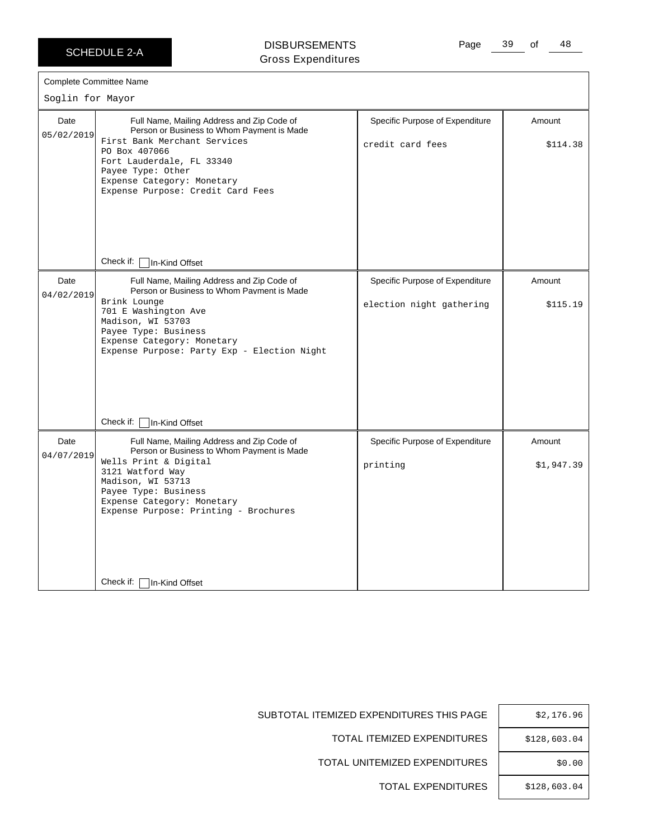### DISBURSEMENTS Gross Expenditures

Page 39 of 48

|  | <b>Complete Committee Name</b> |  |
|--|--------------------------------|--|
|--|--------------------------------|--|

 $\sim$ lin for Ma

| Soglin for Mayor   |                                                                                                                                                                                                                                                                                                              |                                                             |                      |  |
|--------------------|--------------------------------------------------------------------------------------------------------------------------------------------------------------------------------------------------------------------------------------------------------------------------------------------------------------|-------------------------------------------------------------|----------------------|--|
| Date<br>05/02/2019 | Full Name, Mailing Address and Zip Code of<br>Person or Business to Whom Payment is Made<br>First Bank Merchant Services<br>PO Box 407066<br>Fort Lauderdale, FL 33340<br>Payee Type: Other<br>Expense Category: Monetary<br>Expense Purpose: Credit Card Fees<br>Check if:<br>In-Kind Offset                | Specific Purpose of Expenditure<br>credit card fees         | Amount<br>\$114.38   |  |
| Date<br>04/02/2019 | Full Name, Mailing Address and Zip Code of<br>Person or Business to Whom Payment is Made<br>Brink Lounge<br>701 E Washington Ave<br>Madison, WI 53703<br>Payee Type: Business<br>Expense Category: Monetary<br>Expense Purpose: Party Exp - Election Night<br>Check if:                                      | Specific Purpose of Expenditure<br>election night gathering | Amount<br>\$115.19   |  |
| Date<br>04/07/2019 | In-Kind Offset<br>Full Name, Mailing Address and Zip Code of<br>Person or Business to Whom Payment is Made<br>Wells Print & Digital<br>3121 Watford Way<br>Madison, WI 53713<br>Payee Type: Business<br>Expense Category: Monetary<br>Expense Purpose: Printing - Brochures<br>Check if: [<br>In-Kind Offset | Specific Purpose of Expenditure<br>printing                 | Amount<br>\$1,947.39 |  |

SUBTOTAL ITEMIZED EXPENDITURES THIS PAGE

TOTAL ITEMIZED EXPENDITURES

TOTAL UNITEMIZED EXPENDITURES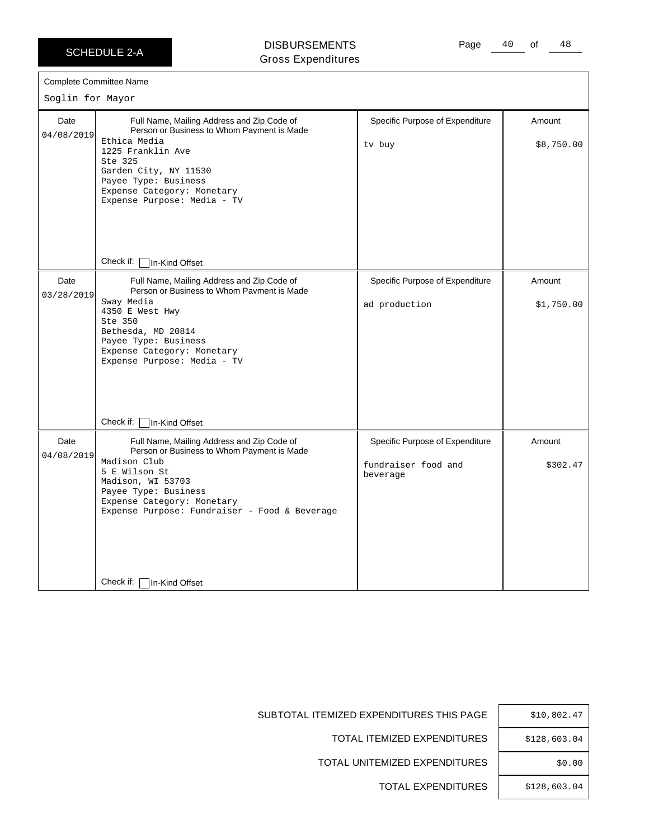$\Gamma$ 

### DISBURSEMENTS Gross Expenditures

Page 40 of 48

|                    | Complete Committee Name                                                                                                                                                                                                                                |                                                                    |                      |
|--------------------|--------------------------------------------------------------------------------------------------------------------------------------------------------------------------------------------------------------------------------------------------------|--------------------------------------------------------------------|----------------------|
| Soglin for Mayor   |                                                                                                                                                                                                                                                        |                                                                    |                      |
| Date<br>04/08/2019 | Full Name, Mailing Address and Zip Code of<br>Person or Business to Whom Payment is Made<br>Ethica Media<br>1225 Franklin Ave<br>Ste 325<br>Garden City, NY 11530<br>Payee Type: Business<br>Expense Category: Monetary<br>Expense Purpose: Media - TV | Specific Purpose of Expenditure<br>tv buy                          | Amount<br>\$8,750.00 |
|                    | Check if:   In-Kind Offset                                                                                                                                                                                                                             |                                                                    |                      |
| Date<br>03/28/2019 | Full Name, Mailing Address and Zip Code of<br>Person or Business to Whom Payment is Made<br>Sway Media<br>4350 E West Hwy<br>Ste 350<br>Bethesda, MD 20814<br>Payee Type: Business<br>Expense Category: Monetary<br>Expense Purpose: Media - TV        | Specific Purpose of Expenditure<br>ad production                   | Amount<br>\$1,750.00 |
|                    | Check if: □ In-Kind Offset                                                                                                                                                                                                                             |                                                                    |                      |
| Date<br>04/08/2019 | Full Name, Mailing Address and Zip Code of<br>Person or Business to Whom Payment is Made<br>Madison Club<br>5 E Wilson St<br>Madison, WI 53703<br>Payee Type: Business<br>Expense Category: Monetary<br>Expense Purpose: Fundraiser - Food & Beverage  | Specific Purpose of Expenditure<br>fundraiser food and<br>beverage | Amount<br>\$302.47   |
|                    | Check if: $\vert$<br>In-Kind Offset                                                                                                                                                                                                                    |                                                                    |                      |

| \$10,802.47  |
|--------------|
| \$128,603.04 |
| \$0.00       |
| \$128,603.04 |

SUBTOTAL ITEMIZED EXPENDITURES THIS PAGE

TOTAL ITEMIZED EXPENDITURES

TOTAL UNITEMIZED EXPENDITURES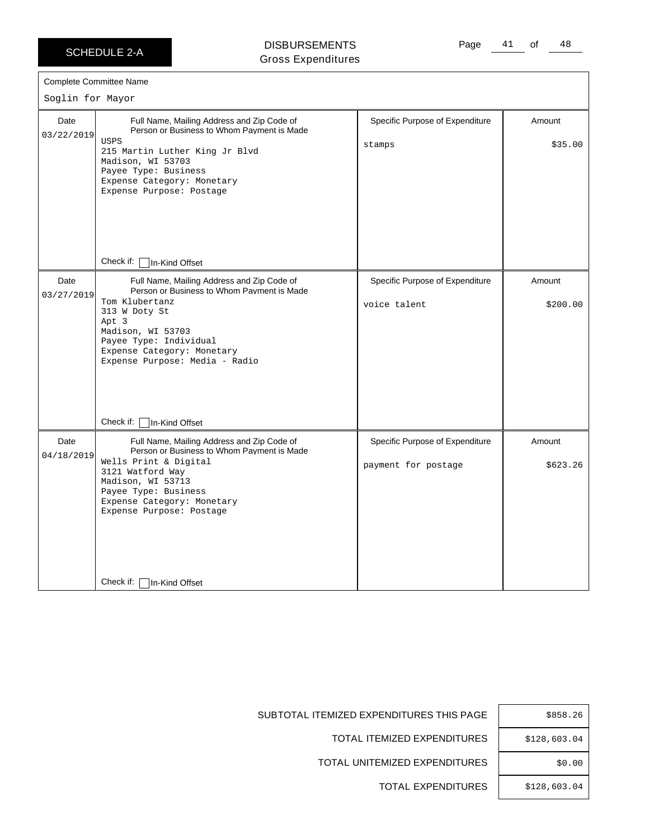Complete Committee Name Soglin for Mayor

03/22/2019 Date

DISBURSEMENTS Gross Expenditures Page 41 of 48

| <b>OIUSS LAPGHUILUIGS</b>                                                                |                                 |          |  |  |
|------------------------------------------------------------------------------------------|---------------------------------|----------|--|--|
| nmittee Name<br>: Mayor                                                                  |                                 |          |  |  |
|                                                                                          |                                 |          |  |  |
| Full Name, Mailing Address and Zip Code of<br>Person or Business to Whom Payment is Made | Specific Purpose of Expenditure | Amount   |  |  |
| <b>USPS</b><br>215 Martin Luther King Jr Blvd                                            | stamps                          | \$35.00  |  |  |
| Madison, WI 53703                                                                        |                                 |          |  |  |
| Payee Type: Business<br>Expense Category: Monetary                                       |                                 |          |  |  |
| Expense Purpose: Postage                                                                 |                                 |          |  |  |
|                                                                                          |                                 |          |  |  |
|                                                                                          |                                 |          |  |  |
|                                                                                          |                                 |          |  |  |
|                                                                                          |                                 |          |  |  |
|                                                                                          |                                 |          |  |  |
| Check if:<br>In-Kind Offset                                                              |                                 |          |  |  |
| Full Name, Mailing Address and Zip Code of<br>Person or Business to Whom Payment is Made | Specific Purpose of Expenditure | Amount   |  |  |
| Tom Klubertanz                                                                           | voice talent                    | \$200.00 |  |  |
| 313 W Doty St                                                                            |                                 |          |  |  |
| Apt 3<br>Madison, WI 53703                                                               |                                 |          |  |  |
|                                                                                          |                                 |          |  |  |

|                    | Check if: □ In-Kind Offset                                                                                                                                                                                                                          |                                                        |                    |
|--------------------|-----------------------------------------------------------------------------------------------------------------------------------------------------------------------------------------------------------------------------------------------------|--------------------------------------------------------|--------------------|
| Date<br>03/27/2019 | Full Name, Mailing Address and Zip Code of<br>Person or Business to Whom Payment is Made<br>Tom Klubertanz<br>313 W Doty St<br>Apt 3<br>Madison, WI 53703<br>Payee Type: Individual<br>Expense Category: Monetary<br>Expense Purpose: Media - Radio | Specific Purpose of Expenditure<br>voice talent        | Amount<br>\$200.00 |
|                    | Check if: □In-Kind Offset                                                                                                                                                                                                                           |                                                        |                    |
| Date<br>04/18/2019 | Full Name, Mailing Address and Zip Code of<br>Person or Business to Whom Payment is Made<br>Wells Print & Digital<br>3121 Watford Way<br>Madison, WI 53713<br>Payee Type: Business<br>Expense Category: Monetary<br>Expense Purpose: Postage        | Specific Purpose of Expenditure<br>payment for postage | Amount<br>\$623.26 |
|                    | Check if: $\Box$<br>In-Kind Offset                                                                                                                                                                                                                  |                                                        |                    |

| Ξ | \$858.26     |
|---|--------------|
| Ξ | \$128,603.04 |
| Ξ | \$0.00       |
| Ξ | \$128,603.04 |

SUBTOTAL ITEMIZED EXPENDITURES THIS PAGE

TOTAL ITEMIZED EXPENDITURES

TOTAL UNITEMIZED EXPENDITURES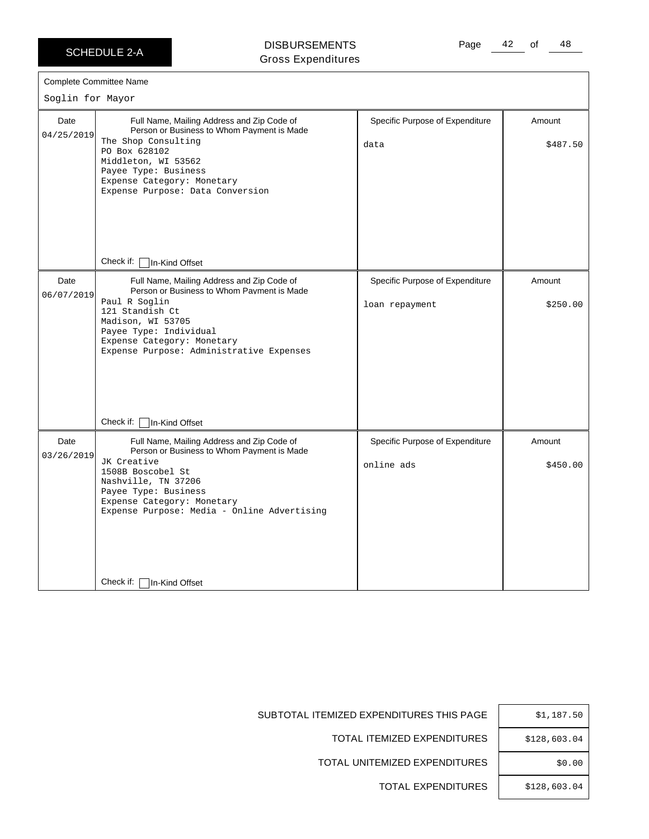### DISBURSEMENTS Gross Expenditures

| Date               | Full Name, Mailing Address and Zip Code of<br>Person or Business to Whom Payment is Made                                                                                                                                                                 | Specific Purpose of Expenditure                   | Amount             |
|--------------------|----------------------------------------------------------------------------------------------------------------------------------------------------------------------------------------------------------------------------------------------------------|---------------------------------------------------|--------------------|
| 04/25/2019         | The Shop Consulting<br>PO Box 628102<br>Middleton, WI 53562<br>Payee Type: Business<br>Expense Category: Monetary<br>Expense Purpose: Data Conversion                                                                                                    | data                                              | \$487.50           |
|                    | Check if: □ In-Kind Offset                                                                                                                                                                                                                               |                                                   |                    |
| Date<br>06/07/2019 | Full Name, Mailing Address and Zip Code of<br>Person or Business to Whom Payment is Made<br>Paul R Soglin<br>121 Standish Ct<br>Madison, WI 53705<br>Payee Type: Individual<br>Expense Category: Monetary<br>Expense Purpose: Administrative Expenses    | Specific Purpose of Expenditure<br>loan repayment | Amount<br>\$250.00 |
|                    | Check if:<br>In-Kind Offset                                                                                                                                                                                                                              |                                                   |                    |
| Date<br>03/26/2019 | Full Name, Mailing Address and Zip Code of<br>Person or Business to Whom Payment is Made<br>JK Creative<br>1508B Boscobel St<br>Nashville, TN 37206<br>Payee Type: Business<br>Expense Category: Monetary<br>Expense Purpose: Media - Online Advertising | Specific Purpose of Expenditure<br>online ads     | Amount<br>\$450.00 |
|                    | Check if:<br>∣In-Kind Offset                                                                                                                                                                                                                             |                                                   |                    |

| Ξ | \$1,187.50   |
|---|--------------|
| 3 | \$128,603.04 |
| 3 | \$0.00       |
| 3 | \$128,603.04 |

SUBTOTAL ITEMIZED EXPENDITURES THIS PAGE

TOTAL ITEMIZED EXPENDITURES

TOTAL UNITEMIZED EXPENDITURES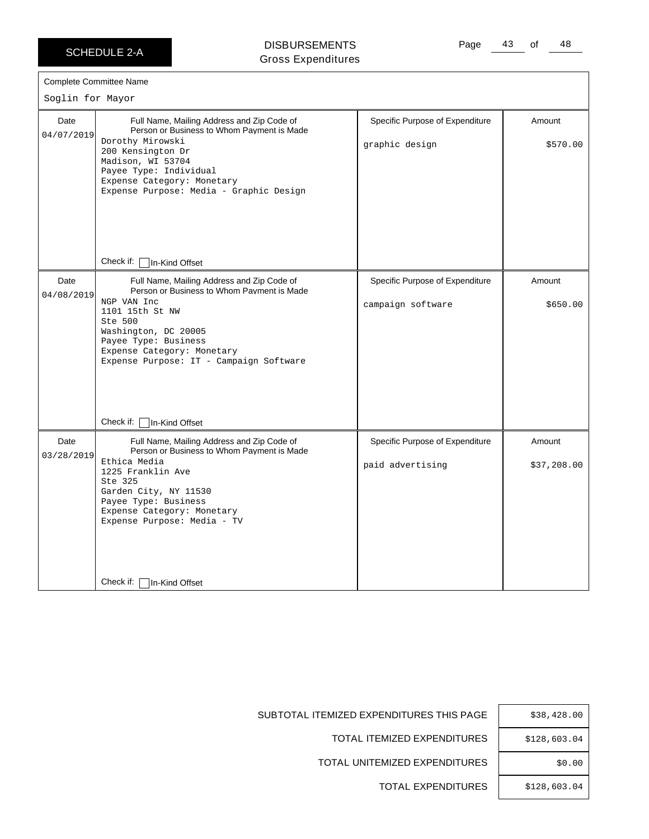DISBURSEMENTS Gross Expenditures Page 43 of 48

|                    | <b>Complete Committee Name</b>                                                                                                                                                                                                                                 |                                                      |                       |
|--------------------|----------------------------------------------------------------------------------------------------------------------------------------------------------------------------------------------------------------------------------------------------------------|------------------------------------------------------|-----------------------|
| Soglin for Mayor   |                                                                                                                                                                                                                                                                |                                                      |                       |
| Date<br>04/07/2019 | Full Name, Mailing Address and Zip Code of<br>Person or Business to Whom Payment is Made<br>Dorothy Mirowski<br>200 Kensington Dr<br>Madison, WI 53704<br>Payee Type: Individual<br>Expense Category: Monetary<br>Expense Purpose: Media - Graphic Design      | Specific Purpose of Expenditure<br>graphic design    | Amount<br>\$570.00    |
|                    | Check if:<br>In-Kind Offset                                                                                                                                                                                                                                    |                                                      |                       |
| Date<br>04/08/2019 | Full Name, Mailing Address and Zip Code of<br>Person or Business to Whom Payment is Made<br>NGP VAN Inc<br>1101 15th St NW<br>Ste 500<br>Washington, DC 20005<br>Payee Type: Business<br>Expense Category: Monetary<br>Expense Purpose: IT - Campaign Software | Specific Purpose of Expenditure<br>campaign software | Amount<br>\$650.00    |
|                    | Check if:<br>In-Kind Offset                                                                                                                                                                                                                                    |                                                      |                       |
| Date<br>03/28/2019 | Full Name, Mailing Address and Zip Code of<br>Person or Business to Whom Payment is Made<br>Ethica Media<br>1225 Franklin Ave<br>Ste 325<br>Garden City, NY 11530<br>Payee Type: Business<br>Expense Category: Monetary<br>Expense Purpose: Media - TV         | Specific Purpose of Expenditure<br>paid advertising  | Amount<br>\$37,208.00 |
|                    | Check if:<br>In-Kind Offset                                                                                                                                                                                                                                    |                                                      |                       |

| \$38,428.00  |
|--------------|
| \$128,603.04 |
| \$0.00       |
| \$128,603.04 |

SUBTOTAL ITEMIZED EXPENDITURES THIS PAGE

TOTAL ITEMIZED EXPENDITURES

TOTAL UNITEMIZED EXPENDITURES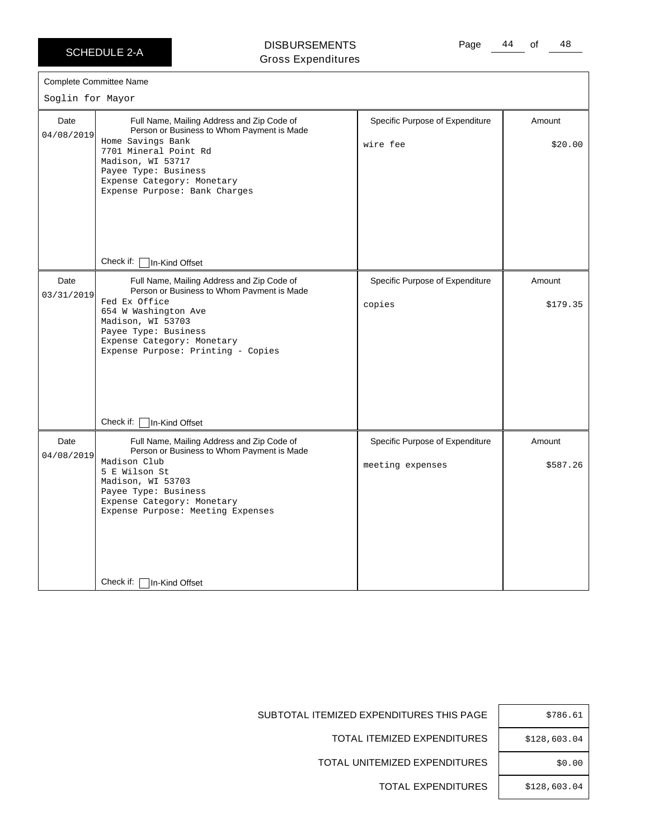### DISBURSEMENTS Gross Expenditures

٦

| Soglin for Mayor   | Complete Committee Name                                                                                                                                                                                                                            |                                                     |                    |
|--------------------|----------------------------------------------------------------------------------------------------------------------------------------------------------------------------------------------------------------------------------------------------|-----------------------------------------------------|--------------------|
| Date<br>04/08/2019 | Full Name, Mailing Address and Zip Code of<br>Person or Business to Whom Payment is Made<br>Home Savings Bank<br>7701 Mineral Point Rd<br>Madison, WI 53717<br>Payee Type: Business<br>Expense Category: Monetary<br>Expense Purpose: Bank Charges | Specific Purpose of Expenditure<br>wire fee         | Amount<br>\$20.00  |
|                    | Check if: [<br>In-Kind Offset                                                                                                                                                                                                                      |                                                     |                    |
| Date<br>03/31/2019 | Full Name, Mailing Address and Zip Code of<br>Person or Business to Whom Payment is Made<br>Fed Ex Office<br>654 W Washington Ave<br>Madison, WI 53703<br>Payee Type: Business<br>Expense Category: Monetary<br>Expense Purpose: Printing - Copies | Specific Purpose of Expenditure<br>copies           | Amount<br>\$179.35 |
|                    | Check if: $\lceil$<br>In-Kind Offset                                                                                                                                                                                                               |                                                     |                    |
| Date<br>04/08/2019 | Full Name, Mailing Address and Zip Code of<br>Person or Business to Whom Payment is Made<br>Madison Club<br>5 E Wilson St<br>Madison, WI 53703<br>Payee Type: Business<br>Expense Category: Monetary<br>Expense Purpose: Meeting Expenses          | Specific Purpose of Expenditure<br>meeting expenses | Amount<br>\$587.26 |
|                    | Check if:<br>In-Kind Offset                                                                                                                                                                                                                        |                                                     |                    |

| \$786.61     |
|--------------|
| \$128,603.04 |
| \$0.00       |
| \$128,603.04 |

SUBTOTAL ITEMIZED EXPENDITURES THIS PAGE

TOTAL ITEMIZED EXPENDITURES

TOTAL UNITEMIZED EXPENDITURES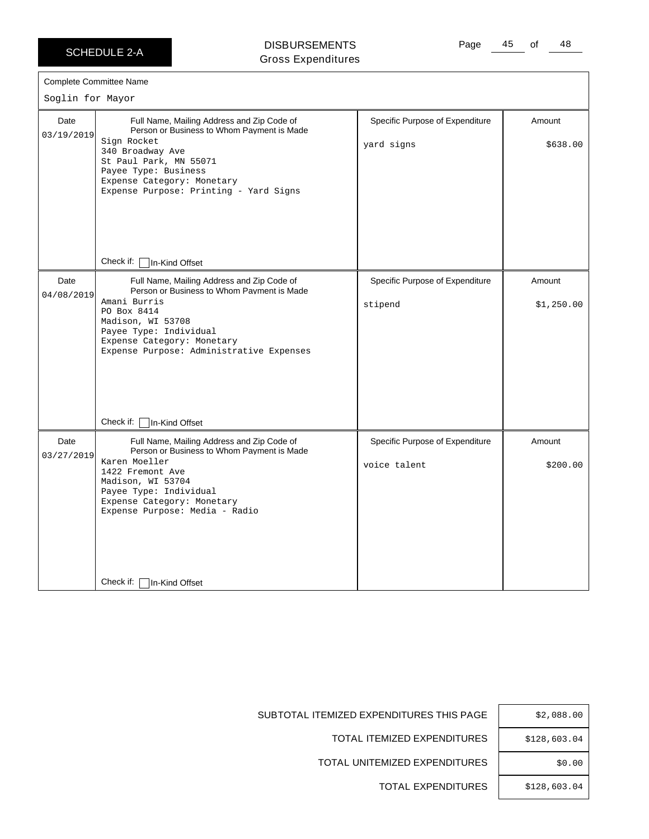$\Gamma$ 

DISBURSEMENTS Gross Expenditures Page 45 of 48

| Soglin for Mayor   | <b>Complete Committee Name</b>                                                                                                                                                                                                                        |                                                 |                      |
|--------------------|-------------------------------------------------------------------------------------------------------------------------------------------------------------------------------------------------------------------------------------------------------|-------------------------------------------------|----------------------|
| Date<br>03/19/2019 | Full Name, Mailing Address and Zip Code of<br>Person or Business to Whom Payment is Made<br>Sign Rocket<br>340 Broadway Ave<br>St Paul Park, MN 55071<br>Payee Type: Business<br>Expense Category: Monetary<br>Expense Purpose: Printing - Yard Signs | Specific Purpose of Expenditure<br>yard signs   | Amount<br>\$638.00   |
|                    | Check if:<br>In-Kind Offset                                                                                                                                                                                                                           |                                                 |                      |
| Date<br>04/08/2019 | Full Name, Mailing Address and Zip Code of<br>Person or Business to Whom Payment is Made<br>Amani Burris<br>PO Box 8414<br>Madison, WI 53708<br>Payee Type: Individual<br>Expense Category: Monetary<br>Expense Purpose: Administrative Expenses      | Specific Purpose of Expenditure<br>stipend      | Amount<br>\$1,250.00 |
|                    | Check if:<br>In-Kind Offset                                                                                                                                                                                                                           |                                                 |                      |
| Date<br>03/27/2019 | Full Name, Mailing Address and Zip Code of<br>Person or Business to Whom Payment is Made<br>Karen Moeller<br>1422 Fremont Ave<br>Madison, WI 53704<br>Payee Type: Individual<br>Expense Category: Monetary<br>Expense Purpose: Media - Radio          | Specific Purpose of Expenditure<br>voice talent | Amount<br>\$200.00   |
|                    | Check if:<br>In-Kind Offset                                                                                                                                                                                                                           |                                                 |                      |

SUBTOTAL ITEMIZED EXPENDITURES THIS PAGE  $|$  \$2,088.00

TOTAL ITEMIZED EXPENDITURES | \$128,603.04

TOTAL UNITEMIZED EXPENDITURES | \$0.00

TOTAL EXPENDITURES | \$128,603.04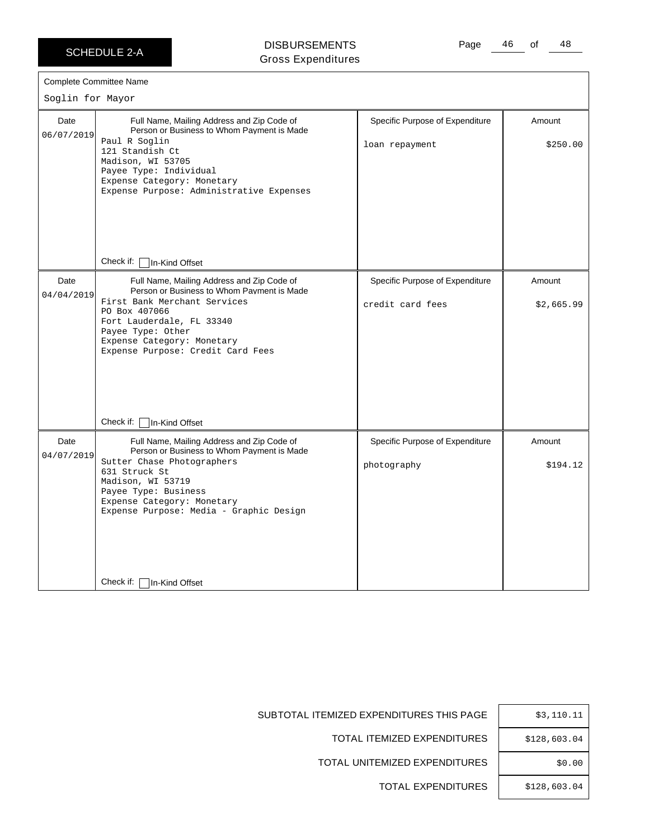### DISBURSEMENTS Gross Expenditures

Page 46 of 48

| Soglin for Mayor   | <b>Complete Committee Name</b>                                                                                                                                                                                                                                                                                                      |                                                     |                      |
|--------------------|-------------------------------------------------------------------------------------------------------------------------------------------------------------------------------------------------------------------------------------------------------------------------------------------------------------------------------------|-----------------------------------------------------|----------------------|
| Date<br>06/07/2019 | Full Name, Mailing Address and Zip Code of<br>Person or Business to Whom Payment is Made<br>Paul R Soglin<br>121 Standish Ct<br>Madison, WI 53705<br>Payee Type: Individual<br>Expense Category: Monetary<br>Expense Purpose: Administrative Expenses                                                                               | Specific Purpose of Expenditure<br>loan repayment   | Amount<br>\$250.00   |
| Date<br>04/04/2019 | Check if:     In-Kind Offset<br>Full Name, Mailing Address and Zip Code of<br>Person or Business to Whom Payment is Made<br>First Bank Merchant Services<br>PO Box 407066<br>Fort Lauderdale, FL 33340<br>Payee Type: Other<br>Expense Category: Monetary<br>Expense Purpose: Credit Card Fees                                      | Specific Purpose of Expenditure<br>credit card fees | Amount<br>\$2,665.99 |
| Date<br>04/07/2019 | Check if: $\vert$<br>In-Kind Offset<br>Full Name, Mailing Address and Zip Code of<br>Person or Business to Whom Payment is Made<br>Sutter Chase Photographers<br>631 Struck St<br>Madison, WI 53719<br>Payee Type: Business<br>Expense Category: Monetary<br>Expense Purpose: Media - Graphic Design<br>Check if:<br>In-Kind Offset | Specific Purpose of Expenditure<br>photography      | Amount<br>\$194.12   |

SUBTOTAL ITEMIZED EXPENDITURES THIS PAGE

TOTAL ITEMIZED EXPENDITURES

TOTAL UNITEMIZED EXPENDITURES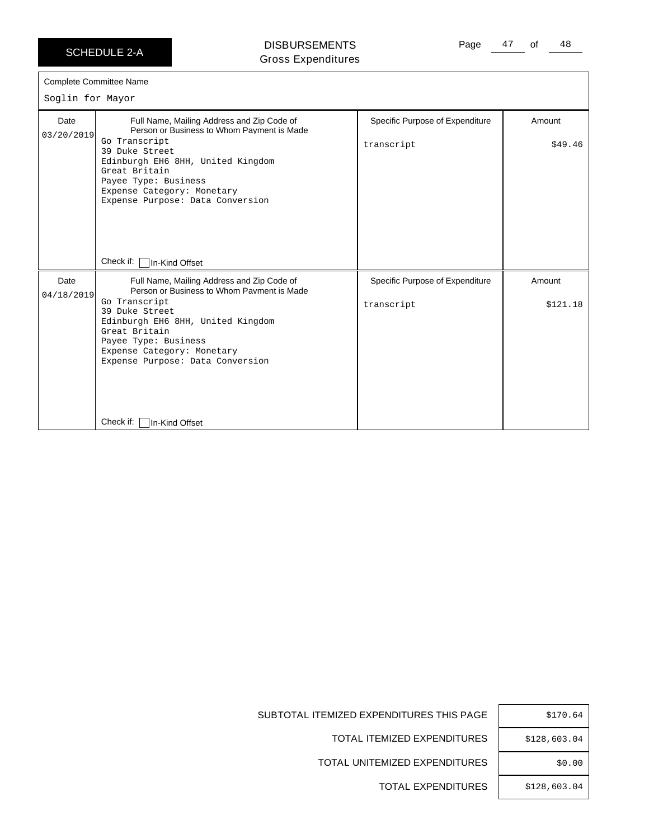### DISBURSEMENTS Gross Expenditures

|  | <b>Complete Committee Name</b> |  |
|--|--------------------------------|--|
|--|--------------------------------|--|

Soglin for Mayor

| Soglin for Mayor   |                                                                                                                                                                                                                                                                                                              |                                               |                    |  |
|--------------------|--------------------------------------------------------------------------------------------------------------------------------------------------------------------------------------------------------------------------------------------------------------------------------------------------------------|-----------------------------------------------|--------------------|--|
| Date<br>03/20/2019 | Full Name, Mailing Address and Zip Code of<br>Person or Business to Whom Payment is Made<br>Go Transcript<br>39 Duke Street<br>Edinburgh EH6 8HH, United Kingdom<br>Great Britain<br>Payee Type: Business<br>Expense Category: Monetary<br>Expense Purpose: Data Conversion<br>Check if: [<br>In-Kind Offset | Specific Purpose of Expenditure<br>transcript | Amount<br>\$49.46  |  |
| Date<br>04/18/2019 | Full Name, Mailing Address and Zip Code of<br>Person or Business to Whom Payment is Made<br>Go Transcript<br>39 Duke Street<br>Edinburgh EH6 8HH, United Kingdom<br>Great Britain<br>Payee Type: Business<br>Expense Category: Monetary<br>Expense Purpose: Data Conversion<br>Check if:<br>In-Kind Offset   | Specific Purpose of Expenditure<br>transcript | Amount<br>\$121.18 |  |

| \$170.64     |
|--------------|
| \$128,603.04 |
| \$0.00       |
| \$128,603.04 |

SUBTOTAL ITEMIZED EXPENDITURES THIS PAGE

TOTAL ITEMIZED EXPENDITURES

TOTAL UNITEMIZED EXPENDITURES